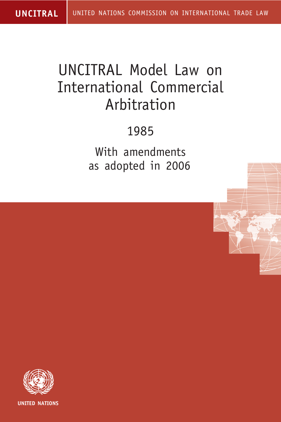# UNCITRAL Model Law on International Commercial Arbitration

1985

With amendments as adopted in 2006



**UNITED NATIONS**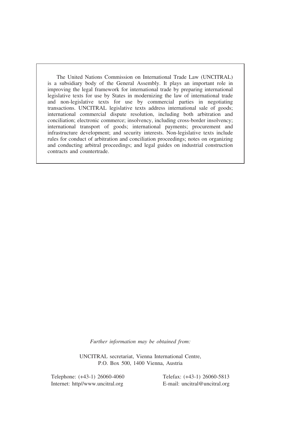The United Nations Commission on International Trade Law (UNCITRAL) is a subsidiary body of the General Assembly. It plays an important role in improving the legal framework for international trade by preparing international legislative texts for use by States in modernizing the law of international trade and non-legislative texts for use by commercial parties in negotiating transactions. UNCITRAL legislative texts address international sale of goods; international commercial dispute resolution, including both arbitration and conciliation; electronic commerce; insolvency, including cross-border insolvency; international transport of goods; international payments; procurement and infrastructure development; and security interests. Non-legislative texts include rules for conduct of arbitration and conciliation proceedings; notes on organizing and conducting arbitral proceedings; and legal guides on industrial construction contracts and countertrade.

*Further information may be obtained from:*

UNCITRAL secretariat, Vienna International Centre, P.O. Box 500, 1400 Vienna, Austria

Internet: http//www.uncitral.org E-mail: uncitral@uncitral.org

Telephone: (+43-1) 26060-4060 Telefax: (+43-1) 26060-5813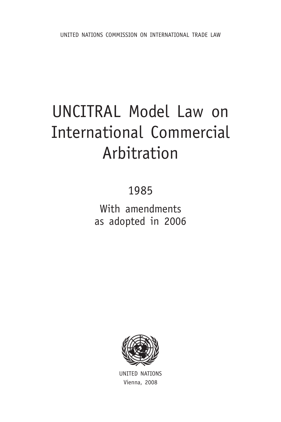# UNCITRAL Model Law on International Commercial Arbitration

1985

With amendments as adopted in 2006



UNITED NATIONS Vienna, 2008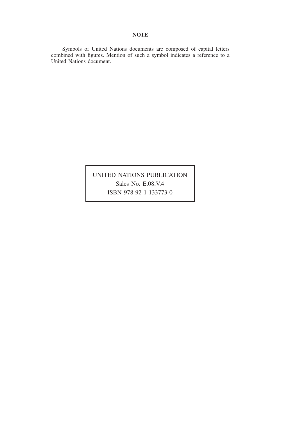#### **NOTE**

 Symbols of United Nations documents are composed of capital letters combined with figures. Mention of such a symbol indicates a reference to a United Nations document.

# UNITED NATIONS PUBLICATION Sales No. E.08.V.4 ISBN 978-92-1-133773-0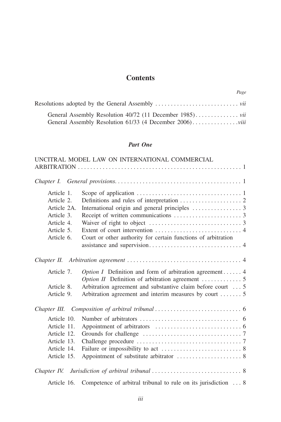# **Contents**

## *Part One*

|             | UNCITRAL MODEL LAW ON INTERNATIONAL COMMERCIAL                                                                                                                                                                                    |
|-------------|-----------------------------------------------------------------------------------------------------------------------------------------------------------------------------------------------------------------------------------|
| Chapter I.  |                                                                                                                                                                                                                                   |
| Article 1.  |                                                                                                                                                                                                                                   |
| Article 2.  |                                                                                                                                                                                                                                   |
| Article 2A. |                                                                                                                                                                                                                                   |
| Article 3.  |                                                                                                                                                                                                                                   |
| Article 4.  |                                                                                                                                                                                                                                   |
| Article 5.  |                                                                                                                                                                                                                                   |
| Article 6.  | Court or other authority for certain functions of arbitration                                                                                                                                                                     |
|             |                                                                                                                                                                                                                                   |
| Chapter II. |                                                                                                                                                                                                                                   |
| Article 7.  | <i>Option I</i> Definition and form of arbitration agreement 4                                                                                                                                                                    |
| Article 8.  | Arbitration agreement and substantive claim before court  5                                                                                                                                                                       |
| Article 9.  | Arbitration agreement and interim measures by court $\dots \dots 5$                                                                                                                                                               |
|             |                                                                                                                                                                                                                                   |
| Article 10. |                                                                                                                                                                                                                                   |
| Article 11. |                                                                                                                                                                                                                                   |
| Article 12. |                                                                                                                                                                                                                                   |
| Article 13. |                                                                                                                                                                                                                                   |
| Article 14. |                                                                                                                                                                                                                                   |
| Article 15. |                                                                                                                                                                                                                                   |
|             |                                                                                                                                                                                                                                   |
|             | $\alpha$ is a contract of the contract of the contract of the contract of the contract of the contract of the contract of the contract of the contract of the contract of the contract of the contract of the contract of the con |

Article 16. Competence of arbitral tribunal to rule on its jurisdiction ... 8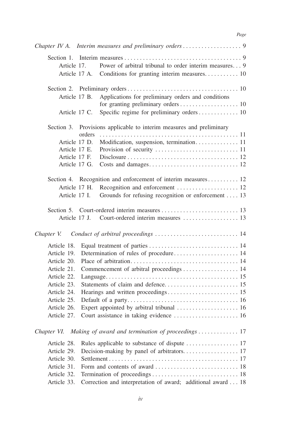|  | Article 17. Power of arbitral tribunal to order interim measures 9 |
|--|--------------------------------------------------------------------|
|  |                                                                    |
|  | Section 2 Preliminary orders<br>10                                 |

|               |        | Article 17 B. Applications for preliminary orders and conditions     |    |
|---------------|--------|----------------------------------------------------------------------|----|
|               |        |                                                                      |    |
|               |        |                                                                      |    |
|               |        | Section 3. Provisions applicable to interim measures and preliminary |    |
|               | orders |                                                                      |    |
|               |        |                                                                      |    |
|               |        |                                                                      |    |
|               |        |                                                                      |    |
| Article 17 G. |        |                                                                      |    |
|               |        | Section $\Delta$ Recognition and enforcement of interim measures     | 12 |

|  | Article 17 I. Grounds for refusing recognition or enforcement  13 |  |
|--|-------------------------------------------------------------------|--|
|  |                                                                   |  |
|  |                                                                   |  |
|  |                                                                   |  |
|  |                                                                   |  |

|  | Chapter V. Conduct of arbitral proceedings $\ldots \ldots \ldots \ldots \ldots \ldots \ldots \ldots$ |
|--|------------------------------------------------------------------------------------------------------|
|  |                                                                                                      |
|  |                                                                                                      |
|  |                                                                                                      |
|  | Article 21. Commencement of arbitral proceedings 14                                                  |
|  |                                                                                                      |
|  |                                                                                                      |
|  |                                                                                                      |
|  |                                                                                                      |
|  |                                                                                                      |
|  |                                                                                                      |
|  |                                                                                                      |

|  | Chapter VI. Making of award and termination of proceedings $\ldots \ldots \ldots \ldots$ 17 |  |
|--|---------------------------------------------------------------------------------------------|--|
|  |                                                                                             |  |
|  |                                                                                             |  |

| Article 33. Correction and interpretation of award; additional award  18 |  |
|--------------------------------------------------------------------------|--|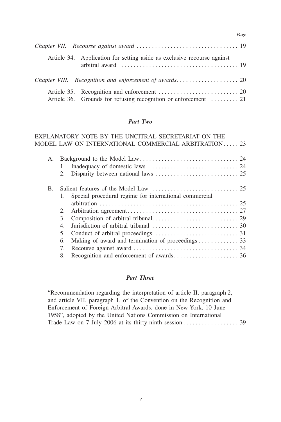| Article 34. Application for setting aside as exclusive recourse against |  |
|-------------------------------------------------------------------------|--|
|                                                                         |  |
| Article 36. Grounds for refusing recognition or enforcement  21         |  |

*Page* 

## *Part Two*

# EXPLANATORY NOTE BY THE UNCITRAL SECRETARIAT ON THE MODEL LAW ON INTERNATIONAL COMMERCIAL ARBITRATION..... 23

| А. | 1.<br>2.    |                                                        |  |
|----|-------------|--------------------------------------------------------|--|
| В. |             |                                                        |  |
|    |             | Special procedural regime for international commercial |  |
|    |             |                                                        |  |
|    | $2_{1}$     |                                                        |  |
|    | 3.          |                                                        |  |
|    | $4_{\cdot}$ |                                                        |  |
|    | .5.         |                                                        |  |
|    | 6.          | Making of award and termination of proceedings 33      |  |
|    | 7.          |                                                        |  |
|    | 8.          |                                                        |  |

#### *Part Three*

"Recommendation regarding the interpretation of article II, paragraph 2, and article VII, paragraph 1, of the Convention on the Recognition and Enforcement of Foreign Arbitral Awards, done in New York, 10 June 1958", adopted by the United Nations Commission on International Trade Law on 7 July 2006 at its thirty-ninth session . . . . . . . . . . . . . . . . . . 39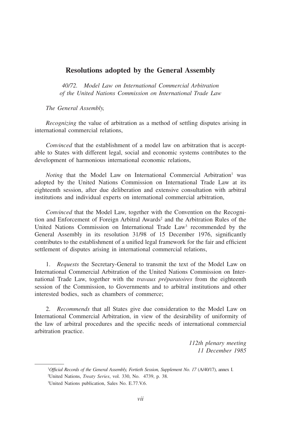#### **Resolutions adopted by the General Assembly**

*40/72. Model Law on International Commercial Arbitration of the United Nations Commission on International Trade Law*

*The General Assembly,* 

*Recognizing* the value of arbitration as a method of settling disputes arising in international commercial relations,

*Convinced* that the establishment of a model law on arbitration that is acceptable to States with different legal, social and economic systems contributes to the development of harmonious international economic relations,

*Noting* that the Model Law on International Commercial Arbitration<sup>1</sup> was adopted by the United Nations Commission on International Trade Law at its eighteenth session, after due deliberation and extensive consultation with arbitral institutions and individual experts on international commercial arbitration,

*Convinced* that the Model Law, together with the Convention on the Recognition and Enforcement of Foreign Arbitral Awards<sup>2</sup> and the Arbitration Rules of the United Nations Commission on International Trade Law<sup>3</sup> recommended by the General Assembly in its resolution 31/98 of 15 December 1976, significantly contributes to the establishment of a unified legal framework for the fair and efficient settlement of disputes arising in international commercial relations,

 1. *Requests* the Secretary-General to transmit the text of the Model Law on International Commercial Arbitration of the United Nations Commission on International Trade Law, together with the *travaux préparatoires* from the eighteenth session of the Commission, to Governments and to arbitral institutions and other interested bodies, such as chambers of commerce;

 2. *Recommends* that all States give due consideration to the Model Law on International Commercial Arbitration, in view of the desirability of uniformity of the law of arbitral procedures and the specific needs of international commercial arbitration practice.

> *112th plenary meeting 11 December 1985*

<sup>&</sup>lt;sup>1</sup>Official Records of the General Assembly, Fortieth Session, Supplement No. 17 (A/40/17), annex I. 2United Nations, *Treaty Series*, vol. 330, No. 4739, p. 38.

 <sup>3</sup>United Nations publication, Sales No. E.77.V.6.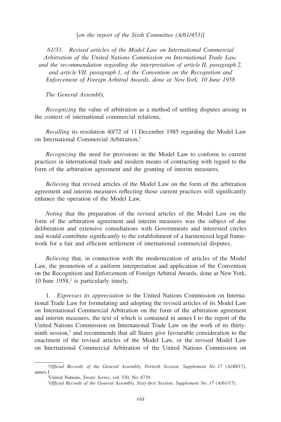[*on the report of the Sixth Committee (A/61/453)*]

*61/33. Revised articles of the Model Law on International Commercial Arbitration of the United Nations Commission on International Trade Law, and the recommendation regarding the interpretation of article II, paragraph 2, and article VII, paragraph 1, of the Convention on the Recognition and Enforcement of Foreign Arbitral Awards, done at New York, 10 June 1958*

*The General Assembly,*

*Recognizing* the value of arbitration as a method of settling disputes arising in the context of international commercial relations,

*Recalling* its resolution 40/72 of 11 December 1985 regarding the Model Law on International Commercial Arbitration.<sup>1</sup>

*Recognizing* the need for provisions in the Model Law to conform to current practices in international trade and modern means of contracting with regard to the form of the arbitration agreement and the granting of interim measures,

*Believing* that revised articles of the Model Law on the form of the arbitration agreement and interim measures reflecting those current practices will significantly enhance the operation of the Model Law,

*Noting* that the preparation of the revised articles of the Model Law on the form of the arbitration agreement and interim measures was the subject of due deliberation and extensive consultations with Governments and interested circles and would contribute significantly to the establishment of a harmonized legal framework for a fair and efficient settlement of international commercial disputes,

*Believing* that, in connection with the modernization of articles of the Model Law, the promotion of a uniform interpretation and application of the Convention on the Recognition and Enforcement of Foreign Arbitral Awards, done at New York, 10 June  $1958$ ,<sup>2</sup> is particularly timely,

 1. *Expresses its appreciation* to the United Nations Commission on International Trade Law for formulating and adopting the revised articles of its Model Law on International Commercial Arbitration on the form of the arbitration agreement and interim measures, the text of which is contained in annex I to the report of the United Nations Commission on International Trade Law on the work of its thirtyninth session,<sup>3</sup> and recommends that all States give favourable consideration to the enactment of the revised articles of the Model Law, or the revised Model Law on International Commercial Arbitration of the United Nations Commission on

<sup>&</sup>lt;sup>1</sup>Official Records of the General Assembly, Fortieth Session, Supplement No. 17 (A/40/17), annex I.<br><sup>2</sup>United Nations, *Treaty Series*, vol. 330, No. 4739.

<sup>&</sup>lt;sup>3</sup>Official Records of the General Assembly, Sixty-first Session, Supplement No. 17 (A/61/17).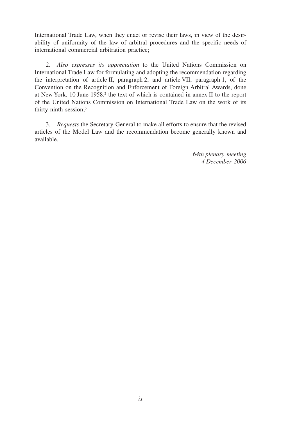International Trade Law, when they enact or revise their laws, in view of the desirability of uniformity of the law of arbitral procedures and the specific needs of international commercial arbitration practice;

 2. *Also expresses its appreciation* to the United Nations Commission on International Trade Law for formulating and adopting the recommendation regarding the interpretation of article II, paragraph 2, and article VII, paragraph 1, of the Convention on the Recognition and Enforcement of Foreign Arbitral Awards, done at New York, 10 June  $1958$ , the text of which is contained in annex II to the report of the United Nations Commission on International Trade Law on the work of its thirty-ninth session;3

 3. *Requests* the Secretary-General to make all efforts to ensure that the revised articles of the Model Law and the recommendation become generally known and available.

> *64th plenary meeting 4 December 2006*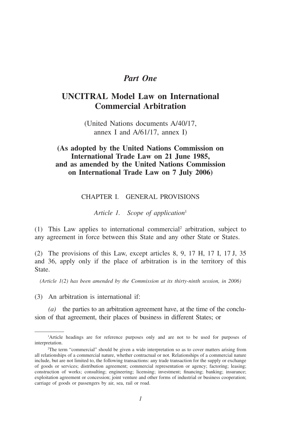# *Part One*

# **UNCITRAL Model Law on International Commercial Arbitration**

(United Nations documents A/40/17, annex I and A/61/17, annex I)

# **(As adopted by the United Nations Commission on International Trade Law on 21 June 1985, and as amended by the United Nations Commission on International Trade Law on 7 July 2006)**

## CHAPTER I. GENERAL PROVISIONS

*Article 1. Scope of application*<sup>1</sup>

 $(1)$  This Law applies to international commercial<sup>2</sup> arbitration, subject to any agreement in force between this State and any other State or States.

(2) The provisions of this Law, except articles 8, 9, 17 H, 17 I, 17 J, 35 and 36, apply only if the place of arbitration is in the territory of this State.

*(Article 1(2) has been amended by the Commission at its thirty-ninth session, in 2006)*

(3) An arbitration is international if:

*(a)* the parties to an arbitration agreement have, at the time of the conclusion of that agreement, their places of business in different States; or

 <sup>1</sup>Article headings are for reference purposes only and are not to be used for purposes of interpretation.

 <sup>2</sup>The term "commercial" should be given a wide interpretation so as to cover matters arising from all relationships of a commercial nature, whether contractual or not. Relationships of a commercial nature include, but are not limited to, the following transactions: any trade transaction for the supply or exchange of goods or services; distribution agreement; commercial representation or agency; factoring; leasing; construction of works; consulting; engineering; licensing; investment; financing; banking; insurance; exploitation agreement or concession; joint venture and other forms of industrial or business cooperation; carriage of goods or passengers by air, sea, rail or road.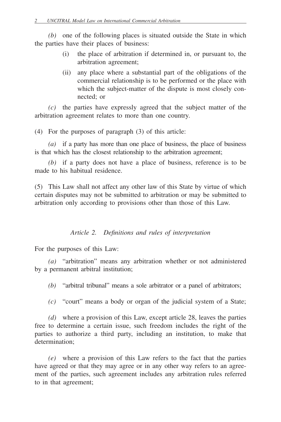*(b)* one of the following places is situated outside the State in which the parties have their places of business:

- (i) the place of arbitration if determined in, or pursuant to, the arbitration agreement;
- (ii) any place where a substantial part of the obligations of the commercial relationship is to be performed or the place with which the subject-matter of the dispute is most closely connected; or

*(c)* the parties have expressly agreed that the subject matter of the arbitration agreement relates to more than one country.

(4) For the purposes of paragraph (3) of this article:

*(a)* if a party has more than one place of business, the place of business is that which has the closest relationship to the arbitration agreement;

*(b)* if a party does not have a place of business, reference is to be made to his habitual residence.

(5) This Law shall not affect any other law of this State by virtue of which certain disputes may not be submitted to arbitration or may be submitted to arbitration only according to provisions other than those of this Law.

*Article 2. Definitions and rules of interpretation* 

For the purposes of this Law:

*(a)* "arbitration" means any arbitration whether or not administered by a permanent arbitral institution;

*(b)* "arbitral tribunal" means a sole arbitrator or a panel of arbitrators;

*(c)* "court" means a body or organ of the judicial system of a State;

*(d)* where a provision of this Law, except article 28, leaves the parties free to determine a certain issue, such freedom includes the right of the parties to authorize a third party, including an institution, to make that determination;

*(e)* where a provision of this Law refers to the fact that the parties have agreed or that they may agree or in any other way refers to an agreement of the parties, such agreement includes any arbitration rules referred to in that agreement;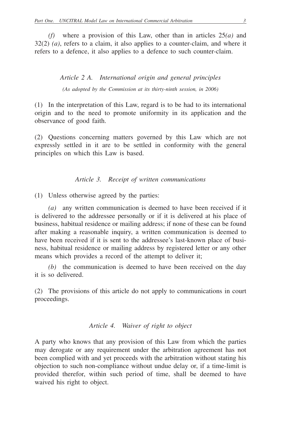*(f)* where a provision of this Law, other than in articles 25*(a)* and 32(2) *(a)*, refers to a claim, it also applies to a counter-claim, and where it refers to a defence, it also applies to a defence to such counter-claim.

> *Article 2 A. International origin and general principles (As adopted by the Commission at its thirty-ninth session, in 2006)*

(1) In the interpretation of this Law, regard is to be had to its international origin and to the need to promote uniformity in its application and the observance of good faith.

(2) Questions concerning matters governed by this Law which are not expressly settled in it are to be settled in conformity with the general principles on which this Law is based.

#### *Article 3. Receipt of written communications*

(1) Unless otherwise agreed by the parties:

*(a)* any written communication is deemed to have been received if it is delivered to the addressee personally or if it is delivered at his place of business, habitual residence or mailing address; if none of these can be found after making a reasonable inquiry, a written communication is deemed to have been received if it is sent to the addressee's last-known place of business, habitual residence or mailing address by registered letter or any other means which provides a record of the attempt to deliver it;

*(b)* the communication is deemed to have been received on the day it is so delivered.

(2) The provisions of this article do not apply to communications in court proceedings.

#### *Article 4. Waiver of right to object*

A party who knows that any provision of this Law from which the parties may derogate or any requirement under the arbitration agreement has not been complied with and yet proceeds with the arbitration without stating his objection to such non-compliance without undue delay or, if a time-limit is provided therefor, within such period of time, shall be deemed to have waived his right to object.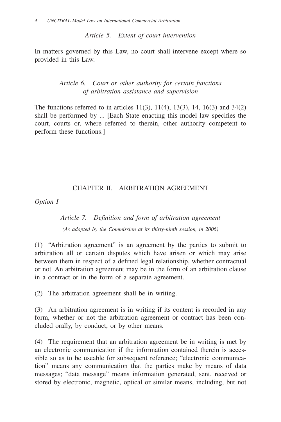*Article 5. Extent of court intervention*

In matters governed by this Law, no court shall intervene except where so provided in this Law.

## *Article 6. Court or other authority for certain functions of arbitration assistance and supervision*

The functions referred to in articles 11(3), 11(4), 13(3), 14, 16(3) and 34(2) shall be performed by ... [Each State enacting this model law specifies the court, courts or, where referred to therein, other authority competent to perform these functions.]

## CHAPTER II. ARBITRATION AGREEMENT

*Option I*

# *Article 7. Definition and form of arbitration agreement (As adopted by the Commission at its thirty-ninth session, in 2006)*

(1) "Arbitration agreement" is an agreement by the parties to submit to arbitration all or certain disputes which have arisen or which may arise between them in respect of a defined legal relationship, whether contractual or not. An arbitration agreement may be in the form of an arbitration clause in a contract or in the form of a separate agreement.

(2) The arbitration agreement shall be in writing.

(3) An arbitration agreement is in writing if its content is recorded in any form, whether or not the arbitration agreement or contract has been concluded orally, by conduct, or by other means.

(4) The requirement that an arbitration agreement be in writing is met by an electronic communication if the information contained therein is accessible so as to be useable for subsequent reference; "electronic communication" means any communication that the parties make by means of data messages; "data message" means information generated, sent, received or stored by electronic, magnetic, optical or similar means, including, but not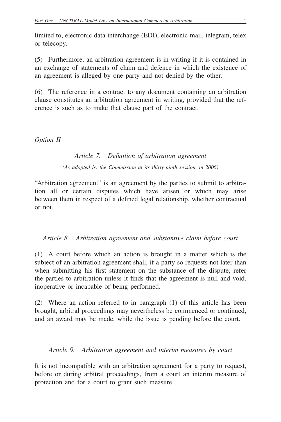limited to, electronic data interchange (EDI), electronic mail, telegram, telex or telecopy.

(5) Furthermore, an arbitration agreement is in writing if it is contained in an exchange of statements of claim and defence in which the existence of an agreement is alleged by one party and not denied by the other.

(6) The reference in a contract to any document containing an arbitration clause constitutes an arbitration agreement in writing, provided that the reference is such as to make that clause part of the contract.

*Option II*

# *Article 7. Definition of arbitration agreement*

*(As adopted by the Commission at its thirty-ninth session, in 2006)*

"Arbitration agreement" is an agreement by the parties to submit to arbitration all or certain disputes which have arisen or which may arise between them in respect of a defined legal relationship, whether contractual or not.

## *Article 8. Arbitration agreement and substantive claim before court*

(1) A court before which an action is brought in a matter which is the subject of an arbitration agreement shall, if a party so requests not later than when submitting his first statement on the substance of the dispute, refer the parties to arbitration unless it finds that the agreement is null and void, inoperative or incapable of being performed.

(2) Where an action referred to in paragraph (1) of this article has been brought, arbitral proceedings may nevertheless be commenced or continued, and an award may be made, while the issue is pending before the court.

## *Article 9. Arbitration agreement and interim measures by court*

It is not incompatible with an arbitration agreement for a party to request, before or during arbitral proceedings, from a court an interim measure of protection and for a court to grant such measure.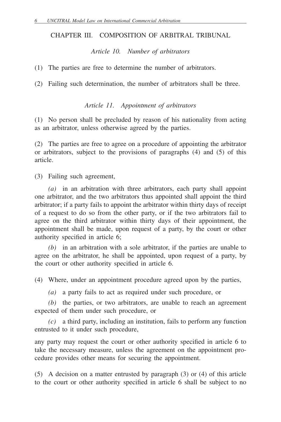#### CHAPTER III. COMPOSITION OF ARBITRAL TRIBUNAL

#### *Article 10. Number of arbitrators*

(1) The parties are free to determine the number of arbitrators.

(2) Failing such determination, the number of arbitrators shall be three.

# *Article 11. Appointment of arbitrators*

(1) No person shall be precluded by reason of his nationality from acting as an arbitrator, unless otherwise agreed by the parties.

(2) The parties are free to agree on a procedure of appointing the arbitrator or arbitrators, subject to the provisions of paragraphs (4) and (5) of this article.

(3) Failing such agreement,

*(a)* in an arbitration with three arbitrators, each party shall appoint one arbitrator, and the two arbitrators thus appointed shall appoint the third arbitrator; if a party fails to appoint the arbitrator within thirty days of receipt of a request to do so from the other party, or if the two arbitrators fail to agree on the third arbitrator within thirty days of their appointment, the appointment shall be made, upon request of a party, by the court or other authority specified in article 6;

*(b)* in an arbitration with a sole arbitrator, if the parties are unable to agree on the arbitrator, he shall be appointed, upon request of a party, by the court or other authority specified in article  $\overline{6}$ .

(4) Where, under an appointment procedure agreed upon by the parties,

*(a)* a party fails to act as required under such procedure, or

*(b)* the parties, or two arbitrators, are unable to reach an agreement expected of them under such procedure, or

*(c)* a third party, including an institution, fails to perform any function entrusted to it under such procedure,

any party may request the court or other authority specified in article 6 to take the necessary measure, unless the agreement on the appointment procedure provides other means for securing the appointment.

(5) A decision on a matter entrusted by paragraph (3) or (4) of this article to the court or other authority specified in article 6 shall be subject to no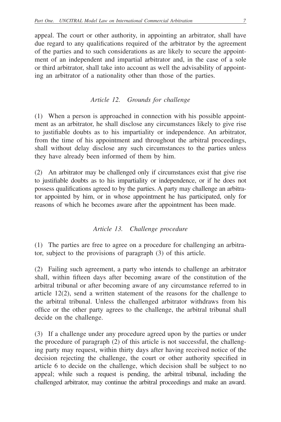appeal. The court or other authority, in appointing an arbitrator, shall have due regard to any qualifications required of the arbitrator by the agreement of the parties and to such considerations as are likely to secure the appointment of an independent and impartial arbitrator and, in the case of a sole or third arbitrator, shall take into account as well the advisability of appointing an arbitrator of a nationality other than those of the parties.

## *Article 12. Grounds for challenge*

(1) When a person is approached in connection with his possible appointment as an arbitrator, he shall disclose any circumstances likely to give rise to justifi able doubts as to his impartiality or independence. An arbitrator, from the time of his appointment and throughout the arbitral proceedings, shall without delay disclose any such circumstances to the parties unless they have already been informed of them by him.

(2) An arbitrator may be challenged only if circumstances exist that give rise to justifiable doubts as to his impartiality or independence, or if he does not possess qualifications agreed to by the parties. A party may challenge an arbitrator appointed by him, or in whose appointment he has participated, only for reasons of which he becomes aware after the appointment has been made.

## *Article 13. Challenge procedure*

(1) The parties are free to agree on a procedure for challenging an arbitrator, subject to the provisions of paragraph (3) of this article.

(2) Failing such agreement, a party who intends to challenge an arbitrator shall, within fifteen days after becoming aware of the constitution of the arbitral tribunal or after becoming aware of any circumstance referred to in article 12(2), send a written statement of the reasons for the challenge to the arbitral tribunal. Unless the challenged arbitrator withdraws from his office or the other party agrees to the challenge, the arbitral tribunal shall decide on the challenge.

(3) If a challenge under any procedure agreed upon by the parties or under the procedure of paragraph (2) of this article is not successful, the challenging party may request, within thirty days after having received notice of the decision rejecting the challenge, the court or other authority specified in article 6 to decide on the challenge, which decision shall be subject to no appeal; while such a request is pending, the arbitral tribunal, including the challenged arbitrator, may continue the arbitral proceedings and make an award.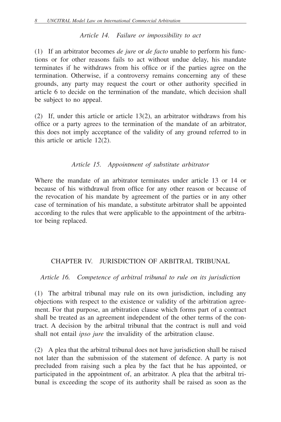#### *Article 14. Failure or impossibility to act*

(1) If an arbitrator becomes *de jure* or *de facto* unable to perform his functions or for other reasons fails to act without undue delay, his mandate terminates if he withdraws from his office or if the parties agree on the termination. Otherwise, if a controversy remains concerning any of these grounds, any party may request the court or other authority specified in article 6 to decide on the termination of the mandate, which decision shall be subject to no appeal.

(2) If, under this article or article 13(2), an arbitrator withdraws from his office or a party agrees to the termination of the mandate of an arbitrator, this does not imply acceptance of the validity of any ground referred to in this article or article 12(2).

#### *Article 15. Appointment of substitute arbitrator*

Where the mandate of an arbitrator terminates under article 13 or 14 or because of his withdrawal from office for any other reason or because of the revocation of his mandate by agreement of the parties or in any other case of termination of his mandate, a substitute arbitrator shall be appointed according to the rules that were applicable to the appointment of the arbitrator being replaced.

## CHAPTER IV. JURISDICTION OF ARBITRAL TRIBUNAL

*Article 16. Competence of arbitral tribunal to rule on its jurisdiction*

(1) The arbitral tribunal may rule on its own jurisdiction, including any objections with respect to the existence or validity of the arbitration agreement. For that purpose, an arbitration clause which forms part of a contract shall be treated as an agreement independent of the other terms of the contract. A decision by the arbitral tribunal that the contract is null and void shall not entail *ipso jure* the invalidity of the arbitration clause.

(2) A plea that the arbitral tribunal does not have jurisdiction shall be raised not later than the submission of the statement of defence. A party is not precluded from raising such a plea by the fact that he has appointed, or participated in the appointment of, an arbitrator. A plea that the arbitral tribunal is exceeding the scope of its authority shall be raised as soon as the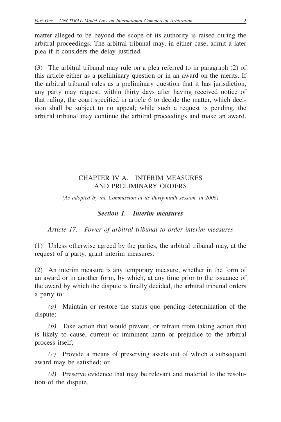matter alleged to be beyond the scope of its authority is raised during the arbitral proceedings. The arbitral tribunal may, in either case, admit a later plea if it considers the delay justified.

(3) The arbitral tribunal may rule on a plea referred to in paragraph (2) of this article either as a preliminary question or in an award on the merits. If the arbitral tribunal rules as a preliminary question that it has jurisdiction, any party may request, within thirty days after having received notice of that ruling, the court specified in article  $6$  to decide the matter, which decision shall be subject to no appeal; while such a request is pending, the arbitral tribunal may continue the arbitral proceedings and make an award.

# CHAPTER IV A. INTERIM MEASURES AND PRELIMINARY ORDERS

*(As adopted by the Commission at its thirty-ninth session, in 2006)*

#### *Section 1. Interim measures*

*Article 17. Power of arbitral tribunal to order interim measures*

(1) Unless otherwise agreed by the parties, the arbitral tribunal may, at the request of a party, grant interim measures.

(2) An interim measure is any temporary measure, whether in the form of an award or in another form, by which, at any time prior to the issuance of the award by which the dispute is finally decided, the arbitral tribunal orders a party to:

*(a)* Maintain or restore the status quo pending determination of the dispute;

*(b)* Take action that would prevent, or refrain from taking action that is likely to cause, current or imminent harm or prejudice to the arbitral process itself;

*(c)* Provide a means of preserving assets out of which a subsequent award may be satisfied; or

*(d)* Preserve evidence that may be relevant and material to the resolution of the dispute.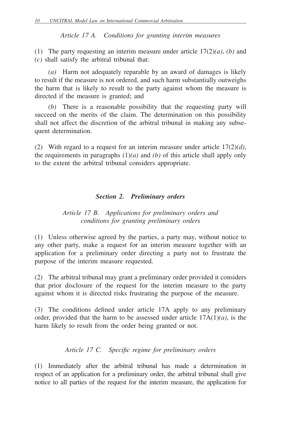*Article 17 A. Conditions for granting interim measures*

(1) The party requesting an interim measure under article 17(2)*(a)*, *(b)* and *(c)* shall satisfy the arbitral tribunal that:

*(a)* Harm not adequately reparable by an award of damages is likely to result if the measure is not ordered, and such harm substantially outweighs the harm that is likely to result to the party against whom the measure is directed if the measure is granted; and

*(b)* There is a reasonable possibility that the requesting party will succeed on the merits of the claim. The determination on this possibility shall not affect the discretion of the arbitral tribunal in making any subsequent determination.

(2) With regard to a request for an interim measure under article 17(2)*(d)*, the requirements in paragraphs  $(1)(a)$  and  $(b)$  of this article shall apply only to the extent the arbitral tribunal considers appropriate.

## *Section 2. Preliminary orders*

## *Article 17 B. Applications for preliminary orders and conditions for granting preliminary orders*

(1) Unless otherwise agreed by the parties, a party may, without notice to any other party, make a request for an interim measure together with an application for a preliminary order directing a party not to frustrate the purpose of the interim measure requested.

(2) The arbitral tribunal may grant a preliminary order provided it considers that prior disclosure of the request for the interim measure to the party against whom it is directed risks frustrating the purpose of the measure.

(3) The conditions defined under article 17A apply to any preliminary order, provided that the harm to be assessed under article  $17A(1)(a)$ , is the harm likely to result from the order being granted or not.

# Article 17 C. Specific regime for preliminary orders

(1) Immediately after the arbitral tribunal has made a determination in respect of an application for a preliminary order, the arbitral tribunal shall give notice to all parties of the request for the interim measure, the application for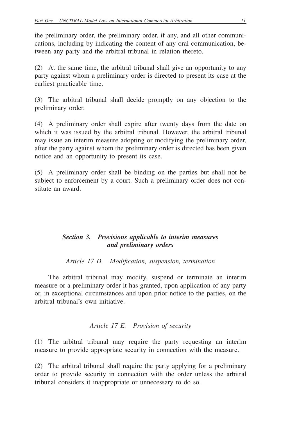the preliminary order, the preliminary order, if any, and all other communications, including by indicating the content of any oral communication, between any party and the arbitral tribunal in relation thereto.

(2) At the same time, the arbitral tribunal shall give an opportunity to any party against whom a preliminary order is directed to present its case at the earliest practicable time.

(3) The arbitral tribunal shall decide promptly on any objection to the preliminary order.

(4) A preliminary order shall expire after twenty days from the date on which it was issued by the arbitral tribunal. However, the arbitral tribunal may issue an interim measure adopting or modifying the preliminary order, after the party against whom the preliminary order is directed has been given notice and an opportunity to present its case.

(5) A preliminary order shall be binding on the parties but shall not be subject to enforcement by a court. Such a preliminary order does not constitute an award.

## *Section 3. Provisions applicable to interim measures and preliminary orders*

Article 17 D. Modification, suspension, termination

 The arbitral tribunal may modify, suspend or terminate an interim measure or a preliminary order it has granted, upon application of any party or, in exceptional circumstances and upon prior notice to the parties, on the arbitral tribunal's own initiative.

## *Article 17 E. Provision of security*

(1) The arbitral tribunal may require the party requesting an interim measure to provide appropriate security in connection with the measure.

(2) The arbitral tribunal shall require the party applying for a preliminary order to provide security in connection with the order unless the arbitral tribunal considers it inappropriate or unnecessary to do so.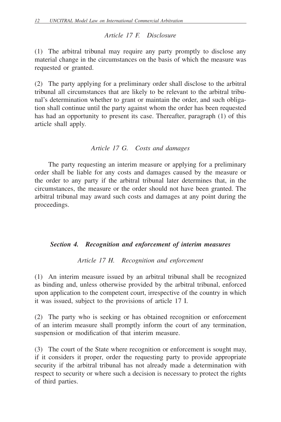# *Article 17 F. Disclosure*

(1) The arbitral tribunal may require any party promptly to disclose any material change in the circumstances on the basis of which the measure was requested or granted.

(2) The party applying for a preliminary order shall disclose to the arbitral tribunal all circumstances that are likely to be relevant to the arbitral tribunal's determination whether to grant or maintain the order, and such obligation shall continue until the party against whom the order has been requested has had an opportunity to present its case. Thereafter, paragraph (1) of this article shall apply.

# *Article 17 G. Costs and damages*

 The party requesting an interim measure or applying for a preliminary order shall be liable for any costs and damages caused by the measure or the order to any party if the arbitral tribunal later determines that, in the circumstances, the measure or the order should not have been granted. The arbitral tribunal may award such costs and damages at any point during the proceedings.

## *Section 4. Recognition and enforcement of interim measures*

*Article 17 H. Recognition and enforcement*

(1) An interim measure issued by an arbitral tribunal shall be recognized as binding and, unless otherwise provided by the arbitral tribunal, enforced upon application to the competent court, irrespective of the country in which it was issued, subject to the provisions of article 17 I.

(2) The party who is seeking or has obtained recognition or enforcement of an interim measure shall promptly inform the court of any termination, suspension or modification of that interim measure.

(3) The court of the State where recognition or enforcement is sought may, if it considers it proper, order the requesting party to provide appropriate security if the arbitral tribunal has not already made a determination with respect to security or where such a decision is necessary to protect the rights of third parties.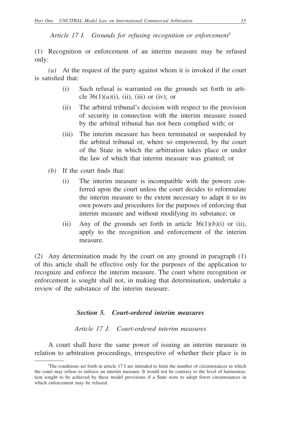*Article 17 I. Grounds for refusing recognition or enforcement*<sup>3</sup>

(1) Recognition or enforcement of an interim measure may be refused only:

*(a)* At the request of the party against whom it is invoked if the court is satisfied that:

- (i) Such refusal is warranted on the grounds set forth in article  $36(1)(a)(i)$ , (ii), (iii) or (iv); or
- (ii) The arbitral tribunal's decision with respect to the provision of security in connection with the interim measure issued by the arbitral tribunal has not been complied with; or
- (iii) The interim measure has been terminated or suspended by the arbitral tribunal or, where so empowered, by the court of the State in which the arbitration takes place or under the law of which that interim measure was granted; or
- $(b)$  If the court finds that:
	- (i) The interim measure is incompatible with the powers conferred upon the court unless the court decides to reformulate the interim measure to the extent necessary to adapt it to its own powers and procedures for the purposes of enforcing that interim measure and without modifying its substance; or
	- (ii) Any of the grounds set forth in article  $36(1)(b)(i)$  or (ii), apply to the recognition and enforcement of the interim measure.

(2) Any determination made by the court on any ground in paragraph (1) of this article shall be effective only for the purposes of the application to recognize and enforce the interim measure. The court where recognition or enforcement is sought shall not, in making that determination, undertake a review of the substance of the interim measure.

#### *Section 5. Court-ordered interim measures*

*Article 17 J. Court-ordered interim measures*

 A court shall have the same power of issuing an interim measure in relation to arbitration proceedings, irrespective of whether their place is in

<sup>&</sup>lt;sup>3</sup>The conditions set forth in article 17 I are intended to limit the number of circumstances in which the court may refuse to enforce an interim measure. It would not be contrary to the level of harmonization sought to be achieved by these model provisions if a State were to adopt fewer circumstances in which enforcement may be refused.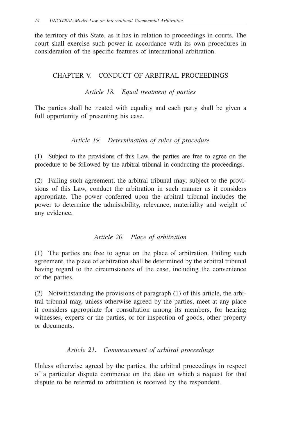the territory of this State, as it has in relation to proceedings in courts. The court shall exercise such power in accordance with its own procedures in consideration of the specific features of international arbitration.

## CHAPTER V. CONDUCT OF ARBITRAL PROCEEDINGS

*Article 18. Equal treatment of parties*

The parties shall be treated with equality and each party shall be given a full opportunity of presenting his case.

## *Article 19. Determination of rules of procedure*

(1) Subject to the provisions of this Law, the parties are free to agree on the procedure to be followed by the arbitral tribunal in conducting the proceedings.

(2) Failing such agreement, the arbitral tribunal may, subject to the provisions of this Law, conduct the arbitration in such manner as it considers appropriate. The power conferred upon the arbitral tribunal includes the power to determine the admissibility, relevance, materiality and weight of any evidence.

## *Article 20. Place of arbitration*

(1) The parties are free to agree on the place of arbitration. Failing such agreement, the place of arbitration shall be determined by the arbitral tribunal having regard to the circumstances of the case, including the convenience of the parties.

(2) Notwithstanding the provisions of paragraph (1) of this article, the arbitral tribunal may, unless otherwise agreed by the parties, meet at any place it considers appropriate for consultation among its members, for hearing witnesses, experts or the parties, or for inspection of goods, other property or documents.

# *Article 21. Commencement of arbitral proceedings*

Unless otherwise agreed by the parties, the arbitral proceedings in respect of a particular dispute commence on the date on which a request for that dispute to be referred to arbitration is received by the respondent.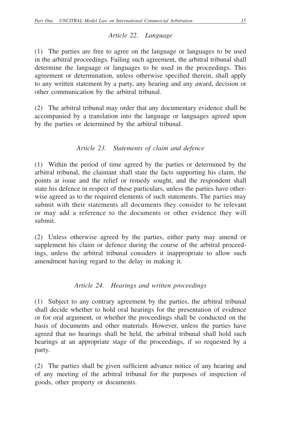## *Article 22. Language*

(1) The parties are free to agree on the language or languages to be used in the arbitral proceedings. Failing such agreement, the arbitral tribunal shall determine the language or languages to be used in the proceedings. This agreement or determination, unless otherwise specified therein, shall apply to any written statement by a party, any hearing and any award, decision or other communication by the arbitral tribunal.

(2) The arbitral tribunal may order that any documentary evidence shall be accompanied by a translation into the language or languages agreed upon by the parties or determined by the arbitral tribunal.

## *Article 23. Statements of claim and defence*

(1) Within the period of time agreed by the parties or determined by the arbitral tribunal, the claimant shall state the facts supporting his claim, the points at issue and the relief or remedy sought, and the respondent shall state his defence in respect of these particulars, unless the parties have otherwise agreed as to the required elements of such statements. The parties may submit with their statements all documents they consider to be relevant or may add a reference to the documents or other evidence they will submit.

(2) Unless otherwise agreed by the parties, either party may amend or supplement his claim or defence during the course of the arbitral proceedings, unless the arbitral tribunal considers it inappropriate to allow such amendment having regard to the delay in making it.

## *Article 24. Hearings and written proceedings*

(1) Subject to any contrary agreement by the parties, the arbitral tribunal shall decide whether to hold oral hearings for the presentation of evidence or for oral argument, or whether the proceedings shall be conducted on the basis of documents and other materials. However, unless the parties have agreed that no hearings shall be held, the arbitral tribunal shall hold such hearings at an appropriate stage of the proceedings, if so requested by a party.

(2) The parties shall be given sufficient advance notice of any hearing and of any meeting of the arbitral tribunal for the purposes of inspection of goods, other property or documents.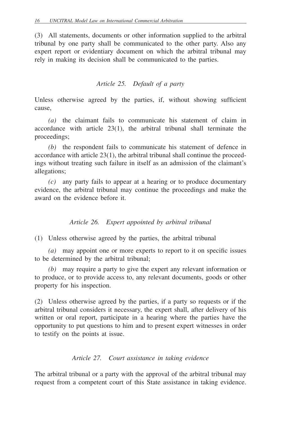(3) All statements, documents or other information supplied to the arbitral tribunal by one party shall be communicated to the other party. Also any expert report or evidentiary document on which the arbitral tribunal may rely in making its decision shall be communicated to the parties.

## *Article 25. Default of a party*

Unless otherwise agreed by the parties, if, without showing sufficient cause,

*(a)* the claimant fails to communicate his statement of claim in accordance with article 23(1), the arbitral tribunal shall terminate the proceedings;

*(b)* the respondent fails to communicate his statement of defence in accordance with article 23(1), the arbitral tribunal shall continue the proceedings without treating such failure in itself as an admission of the claimant's allegations;

*(c)* any party fails to appear at a hearing or to produce documentary evidence, the arbitral tribunal may continue the proceedings and make the award on the evidence before it.

*Article 26. Expert appointed by arbitral tribunal*

(1) Unless otherwise agreed by the parties, the arbitral tribunal

*(a)* may appoint one or more experts to report to it on specific issues to be determined by the arbitral tribunal;

*(b)* may require a party to give the expert any relevant information or to produce, or to provide access to, any relevant documents, goods or other property for his inspection.

(2) Unless otherwise agreed by the parties, if a party so requests or if the arbitral tribunal considers it necessary, the expert shall, after delivery of his written or oral report, participate in a hearing where the parties have the opportunity to put questions to him and to present expert witnesses in order to testify on the points at issue.

# *Article 27. Court assistance in taking evidence*

The arbitral tribunal or a party with the approval of the arbitral tribunal may request from a competent court of this State assistance in taking evidence.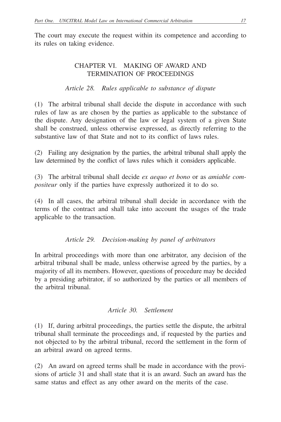The court may execute the request within its competence and according to its rules on taking evidence.

# CHAPTER VI. MAKING OF AWARD AND TERMINATION OF PROCEEDINGS

## *Article 28. Rules applicable to substance of dispute*

(1) The arbitral tribunal shall decide the dispute in accordance with such rules of law as are chosen by the parties as applicable to the substance of the dispute. Any designation of the law or legal system of a given State shall be construed, unless otherwise expressed, as directly referring to the substantive law of that State and not to its conflict of laws rules.

(2) Failing any designation by the parties, the arbitral tribunal shall apply the law determined by the conflict of laws rules which it considers applicable.

(3) The arbitral tribunal shall decide *ex aequo et bono* or as *amiable compositeur* only if the parties have expressly authorized it to do so.

(4) In all cases, the arbitral tribunal shall decide in accordance with the terms of the contract and shall take into account the usages of the trade applicable to the transaction.

# *Article 29. Decision-making by panel of arbitrators*

In arbitral proceedings with more than one arbitrator, any decision of the arbitral tribunal shall be made, unless otherwise agreed by the parties, by a majority of all its members. However, questions of procedure may be decided by a presiding arbitrator, if so authorized by the parties or all members of the arbitral tribunal.

## *Article 30. Settlement*

(1) If, during arbitral proceedings, the parties settle the dispute, the arbitral tribunal shall terminate the proceedings and, if requested by the parties and not objected to by the arbitral tribunal, record the settlement in the form of an arbitral award on agreed terms.

(2) An award on agreed terms shall be made in accordance with the provisions of article 31 and shall state that it is an award. Such an award has the same status and effect as any other award on the merits of the case.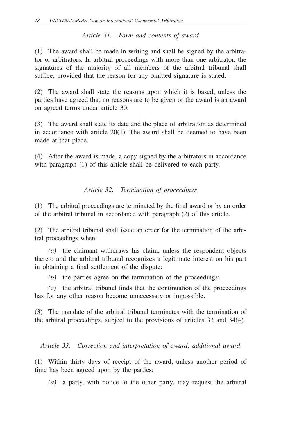# *Article 31. Form and contents of award*

(1) The award shall be made in writing and shall be signed by the arbitrator or arbitrators. In arbitral proceedings with more than one arbitrator, the signatures of the majority of all members of the arbitral tribunal shall suffice, provided that the reason for any omitted signature is stated.

(2) The award shall state the reasons upon which it is based, unless the parties have agreed that no reasons are to be given or the award is an award on agreed terms under article 30.

(3) The award shall state its date and the place of arbitration as determined in accordance with article 20(1). The award shall be deemed to have been made at that place.

(4) After the award is made, a copy signed by the arbitrators in accordance with paragraph (1) of this article shall be delivered to each party.

*Article 32. Termination of proceedings*

 $(1)$  The arbitral proceedings are terminated by the final award or by an order of the arbitral tribunal in accordance with paragraph (2) of this article.

(2) The arbitral tribunal shall issue an order for the termination of the arbitral proceedings when:

*(a)* the claimant withdraws his claim, unless the respondent objects thereto and the arbitral tribunal recognizes a legitimate interest on his part in obtaining a final settlement of the dispute;

*(b)* the parties agree on the termination of the proceedings;

 $(c)$  the arbitral tribunal finds that the continuation of the proceedings has for any other reason become unnecessary or impossible.

(3) The mandate of the arbitral tribunal terminates with the termination of the arbitral proceedings, subject to the provisions of articles 33 and 34(4).

*Article 33. Correction and interpretation of award; additional award*

(1) Within thirty days of receipt of the award, unless another period of time has been agreed upon by the parties:

*(a)* a party, with notice to the other party, may request the arbitral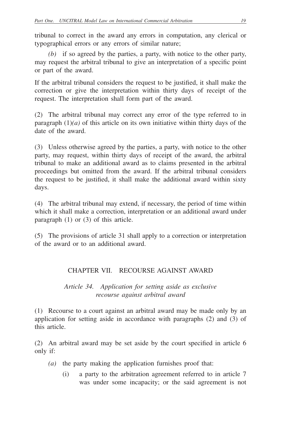tribunal to correct in the award any errors in computation, any clerical or typographical errors or any errors of similar nature;

*(b)* if so agreed by the parties, a party, with notice to the other party, may request the arbitral tribunal to give an interpretation of a specific point or part of the award.

If the arbitral tribunal considers the request to be justified, it shall make the correction or give the interpretation within thirty days of receipt of the request. The interpretation shall form part of the award.

(2) The arbitral tribunal may correct any error of the type referred to in paragraph  $(1)(a)$  of this article on its own initiative within thirty days of the date of the award.

(3) Unless otherwise agreed by the parties, a party, with notice to the other party, may request, within thirty days of receipt of the award, the arbitral tribunal to make an additional award as to claims presented in the arbitral proceedings but omitted from the award. If the arbitral tribunal considers the request to be justified, it shall make the additional award within sixty days.

(4) The arbitral tribunal may extend, if necessary, the period of time within which it shall make a correction, interpretation or an additional award under paragraph (1) or (3) of this article.

(5) The provisions of article 31 shall apply to a correction or interpretation of the award or to an additional award.

# CHAPTER VII. RECOURSE AGAINST AWARD

*Article 34. Application for setting aside as exclusive recourse against arbitral award*

(1) Recourse to a court against an arbitral award may be made only by an application for setting aside in accordance with paragraphs (2) and (3) of this article.

(2) An arbitral award may be set aside by the court specified in article  $6$ only if:

- *(a)* the party making the application furnishes proof that:
	- (i) a party to the arbitration agreement referred to in article 7 was under some incapacity; or the said agreement is not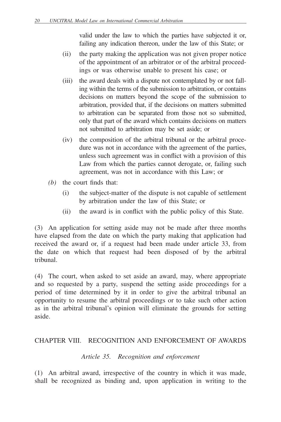valid under the law to which the parties have subjected it or, failing any indication thereon, under the law of this State; or

- (ii) the party making the application was not given proper notice of the appointment of an arbitrator or of the arbitral proceedings or was otherwise unable to present his case; or
- (iii) the award deals with a dispute not contemplated by or not falling within the terms of the submission to arbitration, or contains decisions on matters beyond the scope of the submission to arbitration, provided that, if the decisions on matters submitted to arbitration can be separated from those not so submitted, only that part of the award which contains decisions on matters not submitted to arbitration may be set aside; or
- (iv) the composition of the arbitral tribunal or the arbitral procedure was not in accordance with the agreement of the parties, unless such agreement was in conflict with a provision of this Law from which the parties cannot derogate, or, failing such agreement, was not in accordance with this Law; or
- $(b)$  the court finds that:
	- (i) the subject-matter of the dispute is not capable of settlement by arbitration under the law of this State; or
	- (ii) the award is in conflict with the public policy of this State.

(3) An application for setting aside may not be made after three months have elapsed from the date on which the party making that application had received the award or, if a request had been made under article 33, from the date on which that request had been disposed of by the arbitral tribunal.

(4) The court, when asked to set aside an award, may, where appropriate and so requested by a party, suspend the setting aside proceedings for a period of time determined by it in order to give the arbitral tribunal an opportunity to resume the arbitral proceedings or to take such other action as in the arbitral tribunal's opinion will eliminate the grounds for setting aside.

# CHAPTER VIII. RECOGNITION AND ENFORCEMENT OF AWARDS

# *Article 35. Recognition and enforcement*

(1) An arbitral award, irrespective of the country in which it was made, shall be recognized as binding and, upon application in writing to the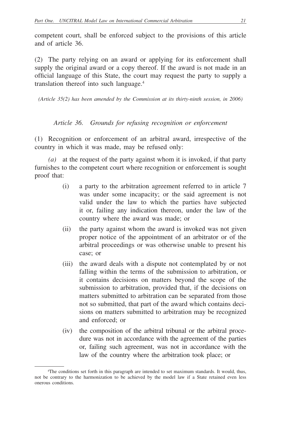competent court, shall be enforced subject to the provisions of this article and of article 36.

(2) The party relying on an award or applying for its enforcement shall supply the original award or a copy thereof. If the award is not made in an official language of this State, the court may request the party to supply a translation thereof into such language.<sup>4</sup>

*(Article 35(2) has been amended by the Commission at its thirty-ninth session, in 2006)*

*Article 36. Grounds for refusing recognition or enforcement*

(1) Recognition or enforcement of an arbitral award, irrespective of the country in which it was made, may be refused only:

*(a)* at the request of the party against whom it is invoked, if that party furnishes to the competent court where recognition or enforcement is sought proof that:

- (i) a party to the arbitration agreement referred to in article 7 was under some incapacity; or the said agreement is not valid under the law to which the parties have subjected it or, failing any indication thereon, under the law of the country where the award was made; or
- (ii) the party against whom the award is invoked was not given proper notice of the appointment of an arbitrator or of the arbitral proceedings or was otherwise unable to present his case; or
- (iii) the award deals with a dispute not contemplated by or not falling within the terms of the submission to arbitration, or it contains decisions on matters beyond the scope of the submission to arbitration, provided that, if the decisions on matters submitted to arbitration can be separated from those not so submitted, that part of the award which contains decisions on matters submitted to arbitration may be recognized and enforced; or
- (iv) the composition of the arbitral tribunal or the arbitral procedure was not in accordance with the agreement of the parties or, failing such agreement, was not in accordance with the law of the country where the arbitration took place; or

<sup>&</sup>lt;sup>4</sup>The conditions set forth in this paragraph are intended to set maximum standards. It would, thus, not be contrary to the harmonization to be achieved by the model law if a State retained even less onerous conditions.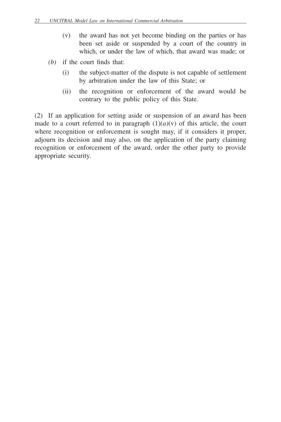- (v) the award has not yet become binding on the parties or has been set aside or suspended by a court of the country in which, or under the law of which, that award was made; or
- $(b)$  if the court finds that:
	- (i) the subject-matter of the dispute is not capable of settlement by arbitration under the law of this State; or
	- (ii) the recognition or enforcement of the award would be contrary to the public policy of this State.

(2) If an application for setting aside or suspension of an award has been made to a court referred to in paragraph  $(1)(a)(v)$  of this article, the court where recognition or enforcement is sought may, if it considers it proper, adjourn its decision and may also, on the application of the party claiming recognition or enforcement of the award, order the other party to provide appropriate security.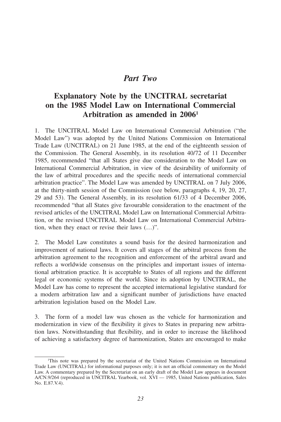# *Part Two*

# **Explanatory Note by the UNCITRAL secretariat on the 1985 Model Law on International Commercial Arbitration as amended in 20061**

1. The UNCITRAL Model Law on International Commercial Arbitration ("the Model Law") was adopted by the United Nations Commission on International Trade Law (UNCITRAL) on 21 June 1985, at the end of the eighteenth session of the Commission. The General Assembly, in its resolution 40/72 of 11 December 1985, recommended "that all States give due consideration to the Model Law on International Commercial Arbitration, in view of the desirability of uniformity of the law of arbitral procedures and the specific needs of international commercial arbitration practice". The Model Law was amended by UNCITRAL on 7 July 2006, at the thirty-ninth session of the Commission (see below, paragraphs 4, 19, 20, 27, 29 and 53). The General Assembly, in its resolution 61/33 of 4 December 2006, recommended "that all States give favourable consideration to the enactment of the revised articles of the UNCITRAL Model Law on International Commercial Arbitration, or the revised UNCITRAL Model Law on International Commercial Arbitration, when they enact or revise their laws (…)".

2. The Model Law constitutes a sound basis for the desired harmonization and improvement of national laws. It covers all stages of the arbitral process from the arbitration agreement to the recognition and enforcement of the arbitral award and reflects a worldwide consensus on the principles and important issues of international arbitration practice. It is acceptable to States of all regions and the different legal or economic systems of the world. Since its adoption by UNCITRAL, the Model Law has come to represent the accepted international legislative standard for a modern arbitration law and a significant number of jurisdictions have enacted arbitration legislation based on the Model Law.

3. The form of a model law was chosen as the vehicle for harmonization and modernization in view of the flexibility it gives to States in preparing new arbitration laws. Notwithstanding that flexibility, and in order to increase the likelihood of achieving a satisfactory degree of harmonization, States are encouraged to make

 <sup>1</sup>This note was prepared by the secretariat of the United Nations Commission on International Trade Law (UNCITRAL) for informational purposes only; it is not an official commentary on the Model Law. A commentary prepared by the Secretariat on an early draft of the Model Law appears in document A/CN.9/264 (reproduced in UNCITRAL Yearbook, vol. XVI — 1985, United Nations publication, Sales No. E.87.V.4).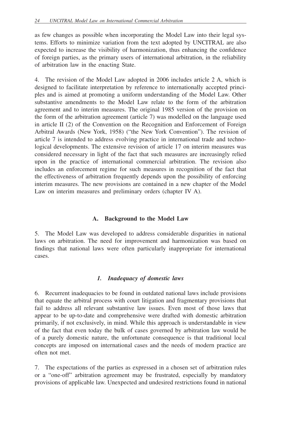as few changes as possible when incorporating the Model Law into their legal systems. Efforts to minimize variation from the text adopted by UNCITRAL are also expected to increase the visibility of harmonization, thus enhancing the confidence of foreign parties, as the primary users of international arbitration, in the reliability of arbitration law in the enacting State.

4. The revision of the Model Law adopted in 2006 includes article 2 A, which is designed to facilitate interpretation by reference to internationally accepted principles and is aimed at promoting a uniform understanding of the Model Law. Other substantive amendments to the Model Law relate to the form of the arbitration agreement and to interim measures. The original 1985 version of the provision on the form of the arbitration agreement (article 7) was modelled on the language used in article II (2) of the Convention on the Recognition and Enforcement of Foreign Arbitral Awards (New York, 1958) ("the New York Convention"). The revision of article 7 is intended to address evolving practice in international trade and technological developments. The extensive revision of article 17 on interim measures was considered necessary in light of the fact that such measures are increasingly relied upon in the practice of international commercial arbitration. The revision also includes an enforcement regime for such measures in recognition of the fact that the effectiveness of arbitration frequently depends upon the possibility of enforcing interim measures. The new provisions are contained in a new chapter of the Model Law on interim measures and preliminary orders (chapter IV A).

#### **A. Background to the Model Law**

5. The Model Law was developed to address considerable disparities in national laws on arbitration. The need for improvement and harmonization was based on findings that national laws were often particularly inappropriate for international cases.

#### *1. Inadequacy of domestic laws*

6. Recurrent inadequacies to be found in outdated national laws include provisions that equate the arbitral process with court litigation and fragmentary provisions that fail to address all relevant substantive law issues. Even most of those laws that appear to be up-to-date and comprehensive were drafted with domestic arbitration primarily, if not exclusively, in mind. While this approach is understandable in view of the fact that even today the bulk of cases governed by arbitration law would be of a purely domestic nature, the unfortunate consequence is that traditional local concepts are imposed on international cases and the needs of modern practice are often not met.

7. The expectations of the parties as expressed in a chosen set of arbitration rules or a "one-off" arbitration agreement may be frustrated, especially by mandatory provisions of applicable law. Unexpected and undesired restrictions found in national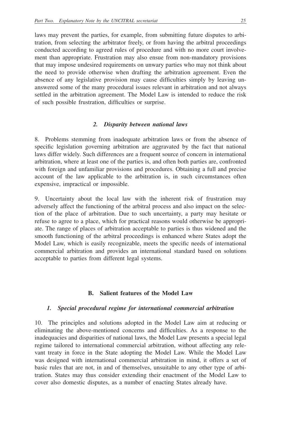laws may prevent the parties, for example, from submitting future disputes to arbitration, from selecting the arbitrator freely, or from having the arbitral proceedings conducted according to agreed rules of procedure and with no more court involvement than appropriate. Frustration may also ensue from non-mandatory provisions that may impose undesired requirements on unwary parties who may not think about the need to provide otherwise when drafting the arbitration agreement. Even the absence of any legislative provision may cause difficulties simply by leaving unanswered some of the many procedural issues relevant in arbitration and not always settled in the arbitration agreement. The Model Law is intended to reduce the risk of such possible frustration, difficulties or surprise.

#### *2. Disparity between national laws*

8. Problems stemming from inadequate arbitration laws or from the absence of specific legislation governing arbitration are aggravated by the fact that national laws differ widely. Such differences are a frequent source of concern in international arbitration, where at least one of the parties is, and often both parties are, confronted with foreign and unfamiliar provisions and procedures. Obtaining a full and precise account of the law applicable to the arbitration is, in such circumstances often expensive, impractical or impossible.

9. Uncertainty about the local law with the inherent risk of frustration may adversely affect the functioning of the arbitral process and also impact on the selection of the place of arbitration. Due to such uncertainty, a party may hesitate or refuse to agree to a place, which for practical reasons would otherwise be appropriate. The range of places of arbitration acceptable to parties is thus widened and the smooth functioning of the arbitral proceedings is enhanced where States adopt the Model Law, which is easily recognizable, meets the specific needs of international commercial arbitration and provides an international standard based on solutions acceptable to parties from different legal systems.

#### **B. Salient features of the Model Law**

#### *1. Special procedural regime for international commercial arbitration*

10. The principles and solutions adopted in the Model Law aim at reducing or eliminating the above-mentioned concerns and difficulties. As a response to the inadequacies and disparities of national laws, the Model Law presents a special legal regime tailored to international commercial arbitration, without affecting any relevant treaty in force in the State adopting the Model Law. While the Model Law was designed with international commercial arbitration in mind, it offers a set of basic rules that are not, in and of themselves, unsuitable to any other type of arbitration. States may thus consider extending their enactment of the Model Law to cover also domestic disputes, as a number of enacting States already have.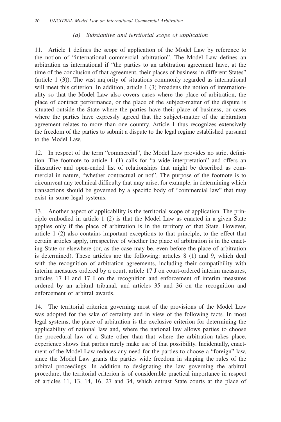#### *(a) Substantive and territorial scope of application*

11. Article 1 defines the scope of application of the Model Law by reference to the notion of "international commercial arbitration". The Model Law defines an arbitration as international if "the parties to an arbitration agreement have, at the time of the conclusion of that agreement, their places of business in different States" (article 1 (3)). The vast majority of situations commonly regarded as international will meet this criterion. In addition, article 1 (3) broadens the notion of internationality so that the Model Law also covers cases where the place of arbitration, the place of contract performance, or the place of the subject-matter of the dispute is situated outside the State where the parties have their place of business, or cases where the parties have expressly agreed that the subject-matter of the arbitration agreement relates to more than one country. Article 1 thus recognizes extensively the freedom of the parties to submit a dispute to the legal regime established pursuant to the Model Law.

12. In respect of the term "commercial", the Model Law provides no strict definition. The footnote to article 1 (1) calls for "a wide interpretation" and offers an illustrative and open-ended list of relationships that might be described as commercial in nature, "whether contractual or not". The purpose of the footnote is to circumvent any technical difficulty that may arise, for example, in determining which transactions should be governed by a specific body of "commercial law" that may exist in some legal systems.

13. Another aspect of applicability is the territorial scope of application. The principle embodied in article 1 (2) is that the Model Law as enacted in a given State applies only if the place of arbitration is in the territory of that State. However, article 1 (2) also contains important exceptions to that principle, to the effect that certain articles apply, irrespective of whether the place of arbitration is in the enacting State or elsewhere (or, as the case may be, even before the place of arbitration is determined). These articles are the following: articles 8 (1) and 9, which deal with the recognition of arbitration agreements, including their compatibility with interim measures ordered by a court, article 17 J on court-ordered interim measures, articles 17 H and 17 I on the recognition and enforcement of interim measures ordered by an arbitral tribunal, and articles 35 and 36 on the recognition and enforcement of arbitral awards.

14. The territorial criterion governing most of the provisions of the Model Law was adopted for the sake of certainty and in view of the following facts. In most legal systems, the place of arbitration is the exclusive criterion for determining the applicability of national law and, where the national law allows parties to choose the procedural law of a State other than that where the arbitration takes place, experience shows that parties rarely make use of that possibility. Incidentally, enactment of the Model Law reduces any need for the parties to choose a "foreign" law, since the Model Law grants the parties wide freedom in shaping the rules of the arbitral proceedings. In addition to designating the law governing the arbitral procedure, the territorial criterion is of considerable practical importance in respect of articles 11, 13, 14, 16, 27 and 34, which entrust State courts at the place of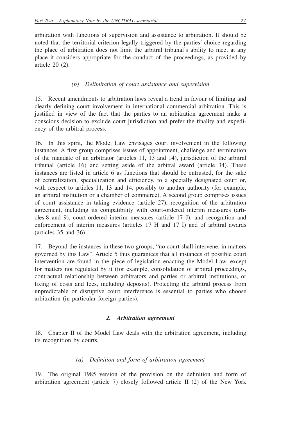arbitration with functions of supervision and assistance to arbitration. It should be noted that the territorial criterion legally triggered by the parties' choice regarding the place of arbitration does not limit the arbitral tribunal's ability to meet at any place it considers appropriate for the conduct of the proceedings, as provided by article 20 (2).

#### *(b) Delimitation of court assistance and supervision*

15. Recent amendments to arbitration laws reveal a trend in favour of limiting and clearly defining court involvement in international commercial arbitration. This is justified in view of the fact that the parties to an arbitration agreement make a conscious decision to exclude court jurisdiction and prefer the finality and expediency of the arbitral process.

16. In this spirit, the Model Law envisages court involvement in the following instances. A first group comprises issues of appointment, challenge and termination of the mandate of an arbitrator (articles 11, 13 and 14), jurisdiction of the arbitral tribunal (article 16) and setting aside of the arbitral award (article 34). These instances are listed in article 6 as functions that should be entrusted, for the sake of centralization, specialization and efficiency, to a specially designated court or, with respect to articles 11, 13 and 14, possibly to another authority (for example, an arbitral institution or a chamber of commerce). A second group comprises issues of court assistance in taking evidence (article 27), recognition of the arbitration agreement, including its compatibility with court-ordered interim measures (articles 8 and 9), court-ordered interim measures (article 17 J), and recognition and enforcement of interim measures (articles 17 H and 17 I) and of arbitral awards (articles 35 and 36).

17. Beyond the instances in these two groups, "no court shall intervene, in matters governed by this Law". Article 5 thus guarantees that all instances of possible court intervention are found in the piece of legislation enacting the Model Law, except for matters not regulated by it (for example, consolidation of arbitral proceedings, contractual relationship between arbitrators and parties or arbitral institutions, or fixing of costs and fees, including deposits). Protecting the arbitral process from unpredictable or disruptive court interference is essential to parties who choose arbitration (in particular foreign parties).

#### *2. Arbitration agreement*

18. Chapter II of the Model Law deals with the arbitration agreement, including its recognition by courts.

#### *(a) Defi nition and form of arbitration agreement*

19. The original 1985 version of the provision on the definition and form of arbitration agreement (article 7) closely followed article II (2) of the New York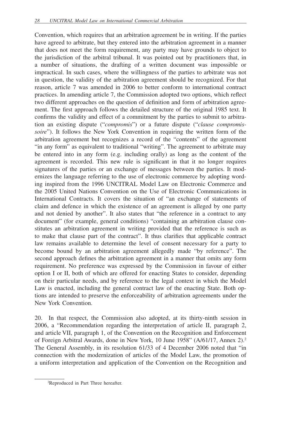Convention, which requires that an arbitration agreement be in writing. If the parties have agreed to arbitrate, but they entered into the arbitration agreement in a manner that does not meet the form requirement, any party may have grounds to object to the jurisdiction of the arbitral tribunal. It was pointed out by practitioners that, in a number of situations, the drafting of a written document was impossible or impractical. In such cases, where the willingness of the parties to arbitrate was not in question, the validity of the arbitration agreement should be recognized. For that reason, article 7 was amended in 2006 to better conform to international contract practices. In amending article 7, the Commission adopted two options, which reflect two different approaches on the question of definition and form of arbitration agreement. The first approach follows the detailed structure of the original 1985 text. It confirms the validity and effect of a commitment by the parties to submit to arbitration an existing dispute ("*compromis*") or a future dispute ("*clause compromissoire*"). It follows the New York Convention in requiring the written form of the arbitration agreement but recognizes a record of the "contents" of the agreement "in any form" as equivalent to traditional "writing". The agreement to arbitrate may be entered into in any form (e.g. including orally) as long as the content of the agreement is recorded. This new rule is significant in that it no longer requires signatures of the parties or an exchange of messages between the parties. It modernizes the language referring to the use of electronic commerce by adopting wording inspired from the 1996 UNCITRAL Model Law on Electronic Commerce and the 2005 United Nations Convention on the Use of Electronic Communications in International Contracts. It covers the situation of "an exchange of statements of claim and defence in which the existence of an agreement is alleged by one party and not denied by another". It also states that "the reference in a contract to any document" (for example, general conditions) "containing an arbitration clause constitutes an arbitration agreement in writing provided that the reference is such as to make that clause part of the contract". It thus clarifies that applicable contract law remains available to determine the level of consent necessary for a party to become bound by an arbitration agreement allegedly made "by reference". The second approach defines the arbitration agreement in a manner that omits any form requirement. No preference was expressed by the Commission in favour of either option I or II, both of which are offered for enacting States to consider, depending on their particular needs, and by reference to the legal context in which the Model Law is enacted, including the general contract law of the enacting State. Both options are intended to preserve the enforceability of arbitration agreements under the New York Convention.

20. In that respect, the Commission also adopted, at its thirty-ninth session in 2006, a "Recommendation regarding the interpretation of article II, paragraph 2, and article VII, paragraph 1, of the Convention on the Recognition and Enforcement of Foreign Arbitral Awards, done in New York, 10 June 1958" (A/61/17, Annex 2).2 The General Assembly, in its resolution 61/33 of 4 December 2006 noted that "in connection with the modernization of articles of the Model Law, the promotion of a uniform interpretation and application of the Convention on the Recognition and

 <sup>2</sup>Reproduced in Part Three hereafter.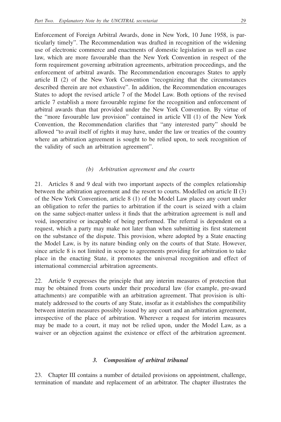Enforcement of Foreign Arbitral Awards, done in New York, 10 June 1958, is particularly timely". The Recommendation was drafted in recognition of the widening use of electronic commerce and enactments of domestic legislation as well as case law, which are more favourable than the New York Convention in respect of the form requirement governing arbitration agreements, arbitration proceedings, and the enforcement of arbitral awards. The Recommendation encourages States to apply article II (2) of the New York Convention "recognizing that the circumstances described therein are not exhaustive". In addition, the Recommendation encourages States to adopt the revised article 7 of the Model Law. Both options of the revised article 7 establish a more favourable regime for the recognition and enforcement of arbitral awards than that provided under the New York Convention. By virtue of the "more favourable law provision" contained in article VII (1) of the New York Convention, the Recommendation clarifies that "any interested party" should be allowed "to avail itself of rights it may have, under the law or treaties of the country where an arbitration agreement is sought to be relied upon, to seek recognition of the validity of such an arbitration agreement".

#### *(b) Arbitration agreement and the courts*

21. Articles 8 and 9 deal with two important aspects of the complex relationship between the arbitration agreement and the resort to courts. Modelled on article II (3) of the New York Convention, article 8 (1) of the Model Law places any court under an obligation to refer the parties to arbitration if the court is seized with a claim on the same subject-matter unless it finds that the arbitration agreement is null and void, inoperative or incapable of being performed. The referral is dependent on a request, which a party may make not later than when submitting its first statement on the substance of the dispute. This provision, where adopted by a State enacting the Model Law, is by its nature binding only on the courts of that State. However, since article 8 is not limited in scope to agreements providing for arbitration to take place in the enacting State, it promotes the universal recognition and effect of international commercial arbitration agreements.

22. Article 9 expresses the principle that any interim measures of protection that may be obtained from courts under their procedural law (for example, pre-award attachments) are compatible with an arbitration agreement. That provision is ultimately addressed to the courts of any State, insofar as it establishes the compatibility between interim measures possibly issued by any court and an arbitration agreement, irrespective of the place of arbitration. Wherever a request for interim measures may be made to a court, it may not be relied upon, under the Model Law, as a waiver or an objection against the existence or effect of the arbitration agreement.

#### *3. Composition of arbitral tribunal*

23. Chapter III contains a number of detailed provisions on appointment, challenge, termination of mandate and replacement of an arbitrator. The chapter illustrates the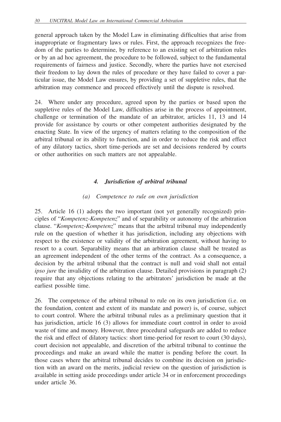general approach taken by the Model Law in eliminating difficulties that arise from inappropriate or fragmentary laws or rules. First, the approach recognizes the freedom of the parties to determine, by reference to an existing set of arbitration rules or by an ad hoc agreement, the procedure to be followed, subject to the fundamental requirements of fairness and justice. Secondly, where the parties have not exercised their freedom to lay down the rules of procedure or they have failed to cover a particular issue, the Model Law ensures, by providing a set of suppletive rules, that the arbitration may commence and proceed effectively until the dispute is resolved.

24. Where under any procedure, agreed upon by the parties or based upon the suppletive rules of the Model Law, difficulties arise in the process of appointment, challenge or termination of the mandate of an arbitrator, articles 11, 13 and 14 provide for assistance by courts or other competent authorities designated by the enacting State. In view of the urgency of matters relating to the composition of the arbitral tribunal or its ability to function, and in order to reduce the risk and effect of any dilatory tactics, short time-periods are set and decisions rendered by courts or other authorities on such matters are not appealable.

#### *4. Jurisdiction of arbitral tribunal*

#### *(a) Competence to rule on own jurisdiction*

25. Article 16 (1) adopts the two important (not yet generally recognized) principles of "*Kompetenz-Kompetenz*" and of separability or autonomy of the arbitration clause. "*Kompetenz-Kompetenz*" means that the arbitral tribunal may independently rule on the question of whether it has jurisdiction, including any objections with respect to the existence or validity of the arbitration agreement, without having to resort to a court. Separability means that an arbitration clause shall be treated as an agreement independent of the other terms of the contract. As a consequence, a decision by the arbitral tribunal that the contract is null and void shall not entail *ipso jure* the invalidity of the arbitration clause. Detailed provisions in paragraph (2) require that any objections relating to the arbitrators' jurisdiction be made at the earliest possible time.

26. The competence of the arbitral tribunal to rule on its own jurisdiction (i.e. on the foundation, content and extent of its mandate and power) is, of course, subject to court control. Where the arbitral tribunal rules as a preliminary question that it has jurisdiction, article 16 (3) allows for immediate court control in order to avoid waste of time and money. However, three procedural safeguards are added to reduce the risk and effect of dilatory tactics: short time-period for resort to court (30 days), court decision not appealable, and discretion of the arbitral tribunal to continue the proceedings and make an award while the matter is pending before the court. In those cases where the arbitral tribunal decides to combine its decision on jurisdiction with an award on the merits, judicial review on the question of jurisdiction is available in setting aside proceedings under article 34 or in enforcement proceedings under article 36.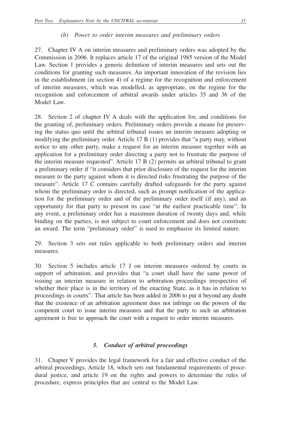#### *(b) Power to order interim measures and preliminary orders*

27. Chapter IV A on interim measures and preliminary orders was adopted by the Commission in 2006. It replaces article 17 of the original 1985 version of the Model Law. Section 1 provides a generic definition of interim measures and sets out the conditions for granting such measures. An important innovation of the revision lies in the establishment (in section 4) of a regime for the recognition and enforcement of interim measures, which was modelled, as appropriate, on the regime for the recognition and enforcement of arbitral awards under articles 35 and 36 of the Model Law.

28. Section 2 of chapter IV A deals with the application for, and conditions for the granting of, preliminary orders. Preliminary orders provide a means for preserving the status quo until the arbitral tribunal issues an interim measure adopting or modifying the preliminary order. Article 17 B (1) provides that "a party may, without notice to any other party, make a request for an interim measure together with an application for a preliminary order directing a party not to frustrate the purpose of the interim measure requested". Article 17 B (2) permits an arbitral tribunal to grant a preliminary order if "it considers that prior disclosure of the request for the interim measure to the party against whom it is directed risks frustrating the purpose of the measure". Article 17 C contains carefully drafted safeguards for the party against whom the preliminary order is directed, such as prompt notification of the application for the preliminary order and of the preliminary order itself (if any), and an opportunity for that party to present its case "at the earliest practicable time". In any event, a preliminary order has a maximum duration of twenty days and, while binding on the parties, is not subject to court enforcement and does not constitute an award. The term "preliminary order" is used to emphasize its limited nature.

29. Section 3 sets out rules applicable to both preliminary orders and interim measures.

30. Section 5 includes article 17 J on interim measures ordered by courts in support of arbitration, and provides that "a court shall have the same power of issuing an interim measure in relation to arbitration proceedings irrespective of whether their place is in the territory of the enacting State, as it has in relation to proceedings in courts". That article has been added in 2006 to put it beyond any doubt that the existence of an arbitration agreement does not infringe on the powers of the competent court to issue interim measures and that the party to such an arbitration agreement is free to approach the court with a request to order interim measures.

#### *5. Conduct of arbitral proceedings*

31. Chapter V provides the legal framework for a fair and effective conduct of the arbitral proceedings. Article 18, which sets out fundamental requirements of procedural justice, and article 19 on the rights and powers to determine the rules of procedure, express principles that are central to the Model Law.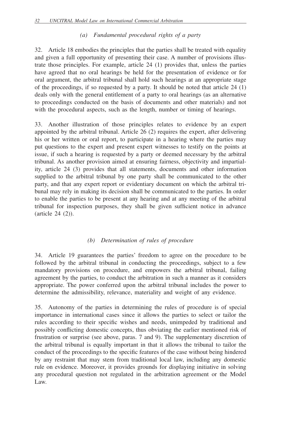#### *(a) Fundamental procedural rights of a party*

32. Article 18 embodies the principles that the parties shall be treated with equality and given a full opportunity of presenting their case. A number of provisions illustrate those principles. For example, article 24 (1) provides that, unless the parties have agreed that no oral hearings be held for the presentation of evidence or for oral argument, the arbitral tribunal shall hold such hearings at an appropriate stage of the proceedings, if so requested by a party. It should be noted that article 24 (1) deals only with the general entitlement of a party to oral hearings (as an alternative to proceedings conducted on the basis of documents and other materials) and not with the procedural aspects, such as the length, number or timing of hearings.

33. Another illustration of those principles relates to evidence by an expert appointed by the arbitral tribunal. Article 26 (2) requires the expert, after delivering his or her written or oral report, to participate in a hearing where the parties may put questions to the expert and present expert witnesses to testify on the points at issue, if such a hearing is requested by a party or deemed necessary by the arbitral tribunal. As another provision aimed at ensuring fairness, objectivity and impartiality, article 24 (3) provides that all statements, documents and other information supplied to the arbitral tribunal by one party shall be communicated to the other party, and that any expert report or evidentiary document on which the arbitral tribunal may rely in making its decision shall be communicated to the parties. In order to enable the parties to be present at any hearing and at any meeting of the arbitral tribunal for inspection purposes, they shall be given sufficient notice in advance (article 24 (2)).

#### *(b) Determination of rules of procedure*

34. Article 19 guarantees the parties' freedom to agree on the procedure to be followed by the arbitral tribunal in conducting the proceedings, subject to a few mandatory provisions on procedure, and empowers the arbitral tribunal, failing agreement by the parties, to conduct the arbitration in such a manner as it considers appropriate. The power conferred upon the arbitral tribunal includes the power to determine the admissibility, relevance, materiality and weight of any evidence.

35. Autonomy of the parties in determining the rules of procedure is of special importance in international cases since it allows the parties to select or tailor the rules according to their specific wishes and needs, unimpeded by traditional and possibly conflicting domestic concepts, thus obviating the earlier mentioned risk of frustration or surprise (see above, paras. 7 and 9). The supplementary discretion of the arbitral tribunal is equally important in that it allows the tribunal to tailor the conduct of the proceedings to the specific features of the case without being hindered by any restraint that may stem from traditional local law, including any domestic rule on evidence. Moreover, it provides grounds for displaying initiative in solving any procedural question not regulated in the arbitration agreement or the Model Law.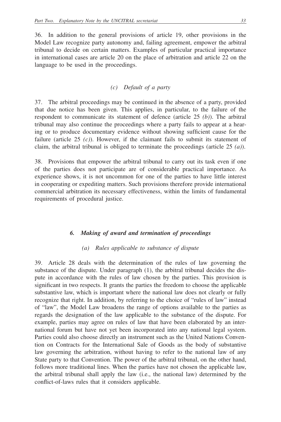36. In addition to the general provisions of article 19, other provisions in the Model Law recognize party autonomy and, failing agreement, empower the arbitral tribunal to decide on certain matters. Examples of particular practical importance in international cases are article 20 on the place of arbitration and article 22 on the language to be used in the proceedings.

#### *(c) Default of a party*

37. The arbitral proceedings may be continued in the absence of a party, provided that due notice has been given. This applies, in particular, to the failure of the respondent to communicate its statement of defence (article 25 *(b)*). The arbitral tribunal may also continue the proceedings where a party fails to appear at a hearing or to produce documentary evidence without showing sufficient cause for the failure (article 25  $(c)$ ). However, if the claimant fails to submit its statement of claim, the arbitral tribunal is obliged to terminate the proceedings (article 25 *(a)*).

38. Provisions that empower the arbitral tribunal to carry out its task even if one of the parties does not participate are of considerable practical importance. As experience shows, it is not uncommon for one of the parties to have little interest in cooperating or expediting matters. Such provisions therefore provide international commercial arbitration its necessary effectiveness, within the limits of fundamental requirements of procedural justice.

#### *6. Making of award and termination of proceedings*

#### *(a) Rules applicable to substance of dispute*

39. Article 28 deals with the determination of the rules of law governing the substance of the dispute. Under paragraph (1), the arbitral tribunal decides the dispute in accordance with the rules of law chosen by the parties. This provision is significant in two respects. It grants the parties the freedom to choose the applicable substantive law, which is important where the national law does not clearly or fully recognize that right. In addition, by referring to the choice of "rules of law" instead of "law", the Model Law broadens the range of options available to the parties as regards the designation of the law applicable to the substance of the dispute. For example, parties may agree on rules of law that have been elaborated by an international forum but have not yet been incorporated into any national legal system. Parties could also choose directly an instrument such as the United Nations Convention on Contracts for the International Sale of Goods as the body of substantive law governing the arbitration, without having to refer to the national law of any State party to that Convention. The power of the arbitral tribunal, on the other hand, follows more traditional lines. When the parties have not chosen the applicable law, the arbitral tribunal shall apply the law (i.e., the national law) determined by the conflict-of-laws rules that it considers applicable.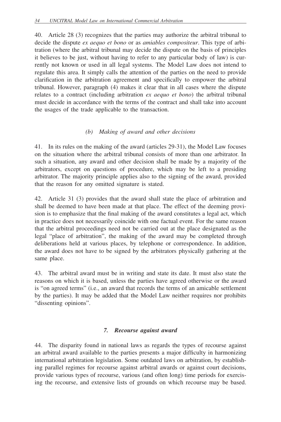40. Article 28 (3) recognizes that the parties may authorize the arbitral tribunal to decide the dispute *ex aequo et bono* or as *amiables compositeur*. This type of arbitration (where the arbitral tribunal may decide the dispute on the basis of principles it believes to be just, without having to refer to any particular body of law) is currently not known or used in all legal systems. The Model Law does not intend to regulate this area. It simply calls the attention of the parties on the need to provide clarification in the arbitration agreement and specifically to empower the arbitral tribunal. However, paragraph (4) makes it clear that in all cases where the dispute relates to a contract (including arbitration *ex aequo et bono*) the arbitral tribunal must decide in accordance with the terms of the contract and shall take into account the usages of the trade applicable to the transaction.

#### *(b) Making of award and other decisions*

41. In its rules on the making of the award (articles 29-31), the Model Law focuses on the situation where the arbitral tribunal consists of more than one arbitrator. In such a situation, any award and other decision shall be made by a majority of the arbitrators, except on questions of procedure, which may be left to a presiding arbitrator. The majority principle applies also to the signing of the award, provided that the reason for any omitted signature is stated.

42. Article 31 (3) provides that the award shall state the place of arbitration and shall be deemed to have been made at that place. The effect of the deeming provision is to emphasize that the final making of the award constitutes a legal act, which in practice does not necessarily coincide with one factual event. For the same reason that the arbitral proceedings need not be carried out at the place designated as the legal "place of arbitration", the making of the award may be completed through deliberations held at various places, by telephone or correspondence. In addition, the award does not have to be signed by the arbitrators physically gathering at the same place.

43. The arbitral award must be in writing and state its date. It must also state the reasons on which it is based, unless the parties have agreed otherwise or the award is "on agreed terms" (i.e., an award that records the terms of an amicable settlement by the parties). It may be added that the Model Law neither requires nor prohibits "dissenting opinions".

#### *7. Recourse against award*

44. The disparity found in national laws as regards the types of recourse against an arbitral award available to the parties presents a major difficulty in harmonizing international arbitration legislation. Some outdated laws on arbitration, by establishing parallel regimes for recourse against arbitral awards or against court decisions, provide various types of recourse, various (and often long) time periods for exercising the recourse, and extensive lists of grounds on which recourse may be based.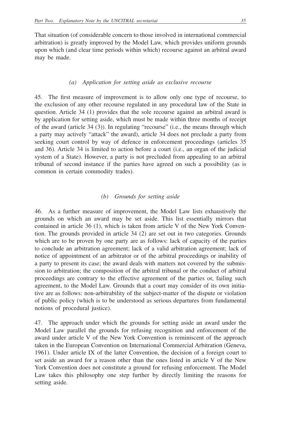That situation (of considerable concern to those involved in international commercial arbitration) is greatly improved by the Model Law, which provides uniform grounds upon which (and clear time periods within which) recourse against an arbitral award may be made.

#### *(a) Application for setting aside as exclusive recourse*

45. The first measure of improvement is to allow only one type of recourse, to the exclusion of any other recourse regulated in any procedural law of the State in question. Article 34 (1) provides that the sole recourse against an arbitral award is by application for setting aside, which must be made within three months of receipt of the award (article 34 (3)). In regulating "recourse" (i.e., the means through which a party may actively "attack" the award), article 34 does not preclude a party from seeking court control by way of defence in enforcement proceedings (articles 35 and 36). Article 34 is limited to action before a court (i.e., an organ of the judicial system of a State). However, a party is not precluded from appealing to an arbitral tribunal of second instance if the parties have agreed on such a possibility (as is common in certain commodity trades).

#### *(b) Grounds for setting aside*

46. As a further measure of improvement, the Model Law lists exhaustively the grounds on which an award may be set aside. This list essentially mirrors that contained in article 36 (1), which is taken from article V of the New York Convention. The grounds provided in article 34 (2) are set out in two categories. Grounds which are to be proven by one party are as follows: lack of capacity of the parties to conclude an arbitration agreement; lack of a valid arbitration agreement; lack of notice of appointment of an arbitrator or of the arbitral proceedings or inability of a party to present its case; the award deals with matters not covered by the submission to arbitration; the composition of the arbitral tribunal or the conduct of arbitral proceedings are contrary to the effective agreement of the parties or, failing such agreement, to the Model Law. Grounds that a court may consider of its own initiative are as follows: non-arbitrability of the subject-matter of the dispute or violation of public policy (which is to be understood as serious departures from fundamental notions of procedural justice).

47. The approach under which the grounds for setting aside an award under the Model Law parallel the grounds for refusing recognition and enforcement of the award under article V of the New York Convention is reminiscent of the approach taken in the European Convention on International Commercial Arbitration (Geneva, 1961). Under article IX of the latter Convention, the decision of a foreign court to set aside an award for a reason other than the ones listed in article V of the New York Convention does not constitute a ground for refusing enforcement. The Model Law takes this philosophy one step further by directly limiting the reasons for setting aside.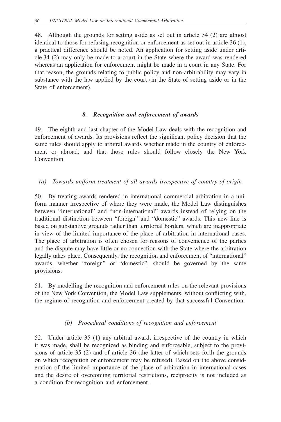48. Although the grounds for setting aside as set out in article 34 (2) are almost identical to those for refusing recognition or enforcement as set out in article 36 (1), a practical difference should be noted. An application for setting aside under article 34 (2) may only be made to a court in the State where the award was rendered whereas an application for enforcement might be made in a court in any State. For that reason, the grounds relating to public policy and non-arbitrability may vary in substance with the law applied by the court (in the State of setting aside or in the State of enforcement).

#### *8. Recognition and enforcement of awards*

49. The eighth and last chapter of the Model Law deals with the recognition and enforcement of awards. Its provisions reflect the significant policy decision that the same rules should apply to arbitral awards whether made in the country of enforcement or abroad, and that those rules should follow closely the New York Convention.

#### *(a) Towards uniform treatment of all awards irrespective of country of origin*

50. By treating awards rendered in international commercial arbitration in a uniform manner irrespective of where they were made, the Model Law distinguishes between "international" and "non-international" awards instead of relying on the traditional distinction between "foreign" and "domestic" awards. This new line is based on substantive grounds rather than territorial borders, which are inappropriate in view of the limited importance of the place of arbitration in international cases. The place of arbitration is often chosen for reasons of convenience of the parties and the dispute may have little or no connection with the State where the arbitration legally takes place. Consequently, the recognition and enforcement of "international" awards, whether "foreign" or "domestic", should be governed by the same provisions.

51. By modelling the recognition and enforcement rules on the relevant provisions of the New York Convention, the Model Law supplements, without conflicting with, the regime of recognition and enforcement created by that successful Convention.

#### *(b) Procedural conditions of recognition and enforcement*

52. Under article 35 (1) any arbitral award, irrespective of the country in which it was made, shall be recognized as binding and enforceable, subject to the provisions of article 35 (2) and of article 36 (the latter of which sets forth the grounds on which recognition or enforcement may be refused). Based on the above consideration of the limited importance of the place of arbitration in international cases and the desire of overcoming territorial restrictions, reciprocity is not included as a condition for recognition and enforcement.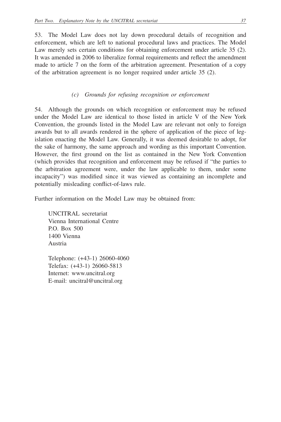53. The Model Law does not lay down procedural details of recognition and enforcement, which are left to national procedural laws and practices. The Model Law merely sets certain conditions for obtaining enforcement under article 35 (2). It was amended in 2006 to liberalize formal requirements and reflect the amendment made to article 7 on the form of the arbitration agreement. Presentation of a copy of the arbitration agreement is no longer required under article 35 (2).

#### *(c) Grounds for refusing recognition or enforcement*

54. Although the grounds on which recognition or enforcement may be refused under the Model Law are identical to those listed in article V of the New York Convention, the grounds listed in the Model Law are relevant not only to foreign awards but to all awards rendered in the sphere of application of the piece of legislation enacting the Model Law. Generally, it was deemed desirable to adopt, for the sake of harmony, the same approach and wording as this important Convention. However, the first ground on the list as contained in the New York Convention (which provides that recognition and enforcement may be refused if "the parties to the arbitration agreement were, under the law applicable to them, under some incapacity") was modified since it was viewed as containing an incomplete and potentially misleading conflict-of-laws rule.

Further information on the Model Law may be obtained from:

UNCITRAL secretariat Vienna International Centre P.O. Box 500 1400 Vienna Austria

Telephone: (+43-1) 26060-4060 Telefax: (+43-1) 26060-5813 Internet: www.uncitral.org E-mail: uncitral@uncitral.org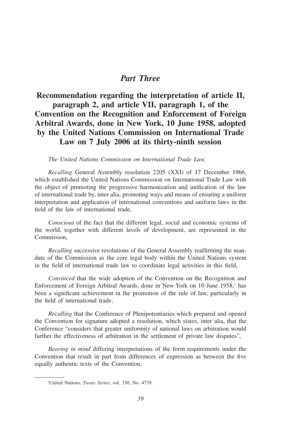# *Part Three*

# **Recommendation regarding the interpretation of article II, paragraph 2, and article VII, paragraph 1, of the Convention on the Recognition and Enforcement of Foreign Arbitral Awards, done in New York, 10 June 1958, adopted by the United Nations Commission on International Trade Law on 7 July 2006 at its thirty-ninth session**

#### *The United Nations Commission on International Trade Law,*

*Recalling* General Assembly resolution 2205 (XXI) of 17 December 1966, which established the United Nations Commission on International Trade Law with the object of promoting the progressive harmonization and unification of the law of international trade by, inter alia, promoting ways and means of ensuring a uniform interpretation and application of international conventions and uniform laws in the field of the law of international trade.

*Conscious* of the fact that the different legal, social and economic systems of the world, together with different levels of development, are represented in the Commission,

*Recalling* successive resolutions of the General Assembly reaffirming the mandate of the Commission as the core legal body within the United Nations system in the field of international trade law to coordinate legal activities in this field,

*Convinced* that the wide adoption of the Convention on the Recognition and Enforcement of Foreign Arbitral Awards, done in New York on 10 June 1958,<sup>1</sup> has been a significant achievement in the promotion of the rule of law, particularly in the field of international trade.

*Recalling* that the Conference of Plenipotentiaries which prepared and opened the Convention for signature adopted a resolution, which states, inter alia, that the Conference "considers that greater uniformity of national laws on arbitration would further the effectiveness of arbitration in the settlement of private law disputes",

*Bearing in mind* differing interpretations of the form requirements under the Convention that result in part from differences of expression as between the five equally authentic texts of the Convention,

 <sup>1</sup>United Nations, *Treaty Series*, vol. 330, No. 4739.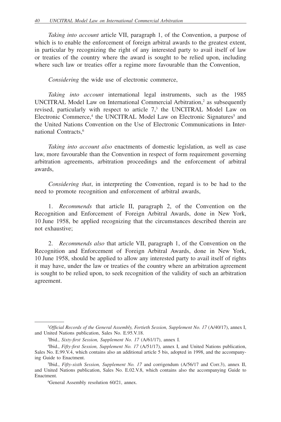*Taking into account* article VII, paragraph 1, of the Convention, a purpose of which is to enable the enforcement of foreign arbitral awards to the greatest extent, in particular by recognizing the right of any interested party to avail itself of law or treaties of the country where the award is sought to be relied upon, including where such law or treaties offer a regime more favourable than the Convention,

*Considering* the wide use of electronic commerce,

*Taking into account* international legal instruments, such as the 1985 UNCITRAL Model Law on International Commercial Arbitration,<sup>2</sup> as subsequently revised, particularly with respect to article  $7<sup>3</sup>$ , the UNCITRAL Model Law on Electronic Commerce,<sup>4</sup> the UNCITRAL Model Law on Electronic Signatures<sup>5</sup> and the United Nations Convention on the Use of Electronic Communications in International Contracts,<sup>6</sup>

*Taking into account also* enactments of domestic legislation, as well as case law, more favourable than the Convention in respect of form requirement governing arbitration agreements, arbitration proceedings and the enforcement of arbitral awards,

*Considering that*, in interpreting the Convention, regard is to be had to the need to promote recognition and enforcement of arbitral awards,

 1. *Recommends* that article II, paragraph 2, of the Convention on the Recognition and Enforcement of Foreign Arbitral Awards, done in New York, 10 June 1958, be applied recognizing that the circumstances described therein are not exhaustive;

 2. *Recommends also* that article VII, paragraph 1, of the Convention on the Recognition and Enforcement of Foreign Arbitral Awards, done in New York, 10 June 1958, should be applied to allow any interested party to avail itself of rights it may have, under the law or treaties of the country where an arbitration agreement is sought to be relied upon, to seek recognition of the validity of such an arbitration agreement.

<sup>&</sup>lt;sup>2</sup>Official Records of the General Assembly, Fortieth Session, Supplement No. 17 (A/40/17), annex I, and United Nations publication, Sales No. E.95.V.18.

<sup>&</sup>lt;sup>3</sup>Ibid., *Sixty-first Session, Supplement No. 17* (A/61/17), annex I.

<sup>&</sup>lt;sup>4</sup>Ibid., *Fifty-first Session, Supplement No. 17* (A/51/17), annex I, and United Nations publication, Sales No. E.99.V.4, which contains also an additional article 5 bis, adopted in 1998, and the accompanying Guide to Enactment.

 <sup>5</sup>Ibid., *Fifty-sixth Session, Supplement No. 17* and corrigendum (A/56/17 and Corr.3), annex II, and United Nations publication, Sales No. E.02.V.8, which contains also the accompanying Guide to Enactment.

 <sup>6</sup>General Assembly resolution 60/21, annex.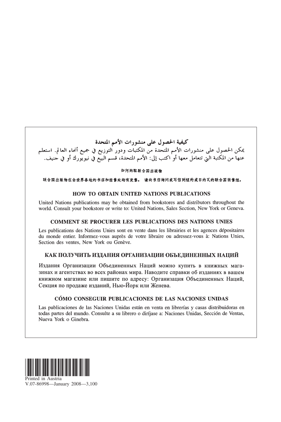كيفية الحصول على منشورات الأمم المتحدة

يمكن الحصول على منشورات ".<br>يمكن الحصول على منشورات الأمم المتحدة من المكتبات ودور التوزيع في جميع أنحاء العالم. استعلم<br>عنها من المكتبة التي تتعامل معها أو اكتب إلى: الأمم المتحدة، قسم البيع في نيويورك أو في جنيف.

如何购取联合国出版物

联合国出版物在全世界各地的书店和经售处均有发售。 请向书店询问或写信到纽约或日内瓦的联合国销售组。

#### HOW TO OBTAIN UNITED NATIONS PUBLICATIONS

United Nations publications may be obtained from bookstores and distributors throughout the world. Consult your bookstore or write to: United Nations, Sales Section, New York or Geneva.

#### COMMENT SE PROCURER LES PUBLICATIONS DES NATIONS UNIES

Les publications des Nations Unies sont en vente dans les librairies et les agences dépositaires du monde entier. Informez-vous auprès de votre libraire ou adressez-vous à: Nations Unies, Section des ventes, New York ou Genève.

#### КАК ПОЛУЧИТЬ ИЗДАНИЯ ОРГАНИЗАЦИИ ОБЪЕДИНЕННЫХ НАЦИЙ

Издания Организации Объединенных Наций можно купить в книжных магазинах и агентствах во всех районах мира. Наводите справки об изданиях в вашем книжном магазине или пишите по адресу: Организация Объединенных Наций, Секция по продаже изданий. Нью-Йорк или Женева.

#### CÓMO CONSEGUIR PUBLICACIONES DE LAS NACIONES UNIDAS

Las publicaciones de las Naciones Unidas están en venta en librerías y casas distribuidoras en todas partes del mundo. Consulte a su librero o diríjase a: Naciones Unidas, Sección de Ventas, Nueva York o Ginebra.



Printed in Austria V.07-86998—January 2008—3,100